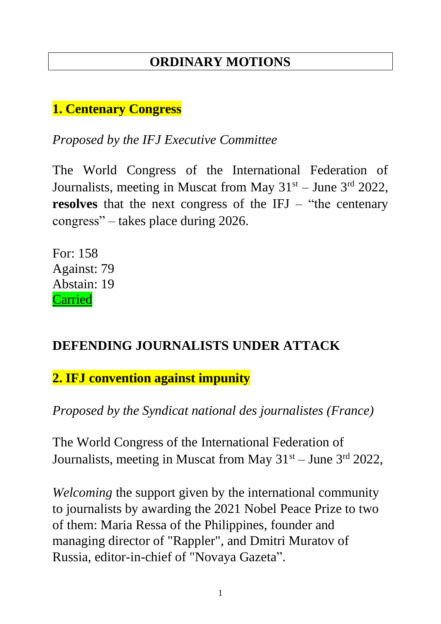# **ORDINARY MOTIONS**

#### **1. Centenary Congress**

*Proposed by the IFJ Executive Committee*

The World Congress of the International Federation of Journalists, meeting in Muscat from May  $31<sup>st</sup>$  – June  $3<sup>rd</sup>$  2022, **resolves** that the next congress of the IFJ – "the centenary" congress" – takes place during 2026.

For: 158 Against: 79 Abstain: 19 Carried

#### **DEFENDING JOURNALISTS UNDER ATTACK**

**2. IFJ convention against impunity**

*Proposed by the Syndicat national des journalistes (France)*

The World Congress of the International Federation of Journalists, meeting in Muscat from May  $31<sup>st</sup> -$  June  $3<sup>rd</sup>$  2022,

*Welcoming* the support given by the international community to journalists by awarding the 2021 Nobel Peace Prize to two of them: Maria Ressa of the Philippines, founder and managing director of "Rappler", and Dmitri Muratov of Russia, editor-in-chief of "Novaya Gazeta".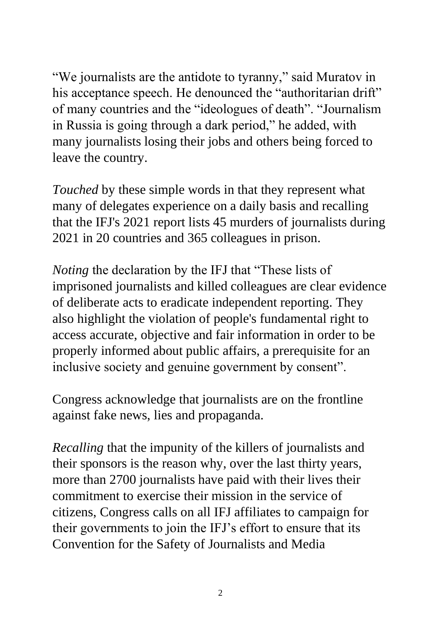"We journalists are the antidote to tyranny," said Muratov in his acceptance speech. He denounced the "authoritarian drift" of many countries and the "ideologues of death". "Journalism in Russia is going through a dark period," he added, with many journalists losing their jobs and others being forced to leave the country.

*Touched* by these simple words in that they represent what many of delegates experience on a daily basis and recalling that the IFJ's 2021 report lists 45 murders of journalists during 2021 in 20 countries and 365 colleagues in prison.

*Noting* the declaration by the IFJ that "These lists of imprisoned journalists and killed colleagues are clear evidence of deliberate acts to eradicate independent reporting. They also highlight the violation of people's fundamental right to access accurate, objective and fair information in order to be properly informed about public affairs, a prerequisite for an inclusive society and genuine government by consent".

Congress acknowledge that journalists are on the frontline against fake news, lies and propaganda.

*Recalling* that the impunity of the killers of journalists and their sponsors is the reason why, over the last thirty years, more than 2700 journalists have paid with their lives their commitment to exercise their mission in the service of citizens, Congress calls on all IFJ affiliates to campaign for their governments to join the IFJ's effort to ensure that its Convention for the Safety of Journalists and Media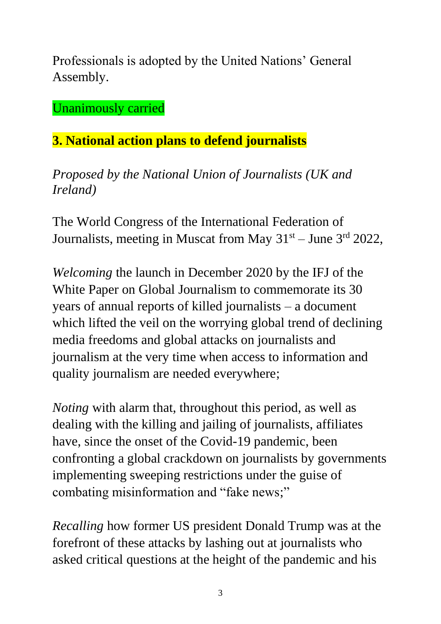Professionals is adopted by the United Nations' General Assembly.

Unanimously carried

# **3. National action plans to defend journalists**

*Proposed by the National Union of Journalists (UK and Ireland)*

The World Congress of the International Federation of Journalists, meeting in Muscat from May  $31<sup>st</sup> - June 3<sup>rd</sup> 2022$ ,

*Welcoming* the launch in December 2020 by the IFJ of the White Paper on Global Journalism to commemorate its 30 years of annual reports of killed journalists – a document which lifted the veil on the worrying global trend of declining media freedoms and global attacks on journalists and journalism at the very time when access to information and quality journalism are needed everywhere;

*Noting* with alarm that, throughout this period, as well as dealing with the killing and jailing of journalists, affiliates have, since the onset of the Covid-19 pandemic, been confronting a global crackdown on journalists by governments implementing sweeping restrictions under the guise of combating misinformation and "fake news;"

*Recalling* how former US president Donald Trump was at the forefront of these attacks by lashing out at journalists who asked critical questions at the height of the pandemic and his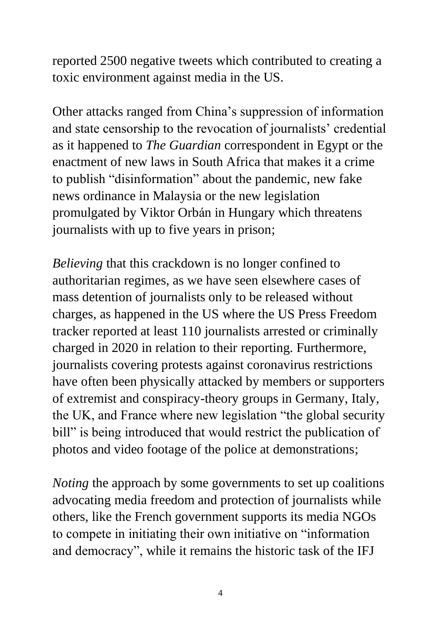reported 2500 negative tweets which contributed to creating a toxic environment against media in the US.

Other attacks ranged from China's suppression of information and state censorship to the revocation of journalists' credential as it happened to *The Guardian* correspondent in Egypt or the enactment of new laws in South Africa that makes it a crime to publish "disinformation" about the pandemic, new fake news ordinance in Malaysia or the new legislation promulgated by Viktor Orbán in Hungary which threatens journalists with up to five years in prison;

*Believing* that this crackdown is no longer confined to authoritarian regimes, as we have seen elsewhere cases of mass detention of journalists only to be released without charges, as happened in the US where the US Press Freedom tracker reported at least 110 journalists arrested or criminally charged in 2020 in relation to their reporting. Furthermore, journalists covering protests against coronavirus restrictions have often been physically attacked by members or supporters of extremist and conspiracy-theory groups in Germany, Italy, the UK, and France where new legislation "the global security bill" is being introduced that would restrict the publication of photos and video footage of the police at demonstrations;

*Noting* the approach by some governments to set up coalitions advocating media freedom and protection of journalists while others, like the French government supports its media NGOs to compete in initiating their own initiative on "information and democracy", while it remains the historic task of the IFJ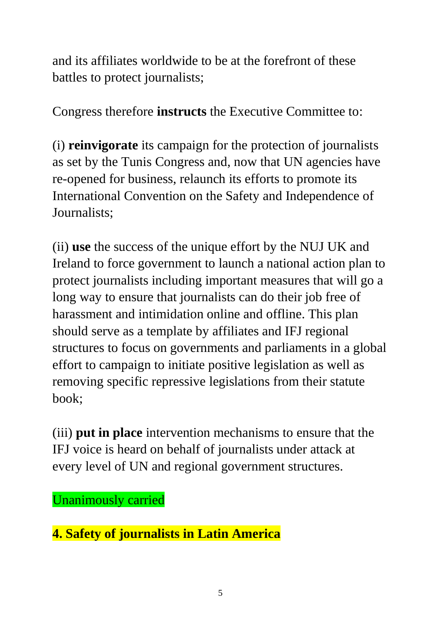and its affiliates worldwide to be at the forefront of these battles to protect journalists;

Congress therefore **instructs** the Executive Committee to:

(i) **reinvigorate** its campaign for the protection of journalists as set by the Tunis Congress and, now that UN agencies have re-opened for business, relaunch its efforts to promote its International Convention on the Safety and Independence of Journalists;

(ii) **use** the success of the unique effort by the NUJ UK and Ireland to force government to launch a national action plan to protect journalists including important measures that will go a long way to ensure that journalists can do their job free of harassment and intimidation online and offline. This plan should serve as a template by affiliates and IFJ regional structures to focus on governments and parliaments in a global effort to campaign to initiate positive legislation as well as removing specific repressive legislations from their statute book;

(iii) **put in place** intervention mechanisms to ensure that the IFJ voice is heard on behalf of journalists under attack at every level of UN and regional government structures.

Unanimously carried

**4. Safety of journalists in Latin America**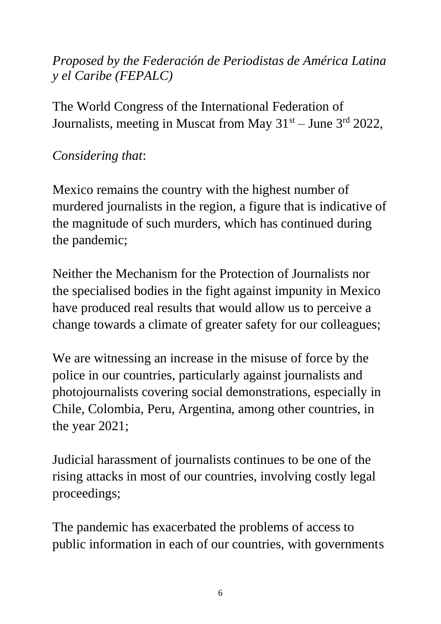## *Proposed by the Federación de Periodistas de América Latina y el Caribe (FEPALC)*

The World Congress of the International Federation of Journalists, meeting in Muscat from May  $31<sup>st</sup> -$  June  $3<sup>rd</sup>$  2022,

# *Considering that*:

Mexico remains the country with the highest number of murdered journalists in the region, a figure that is indicative of the magnitude of such murders, which has continued during the pandemic;

Neither the Mechanism for the Protection of Journalists nor the specialised bodies in the fight against impunity in Mexico have produced real results that would allow us to perceive a change towards a climate of greater safety for our colleagues;

We are witnessing an increase in the misuse of force by the police in our countries, particularly against journalists and photojournalists covering social demonstrations, especially in Chile, Colombia, Peru, Argentina, among other countries, in the year 2021;

Judicial harassment of journalists continues to be one of the rising attacks in most of our countries, involving costly legal proceedings;

The pandemic has exacerbated the problems of access to public information in each of our countries, with governments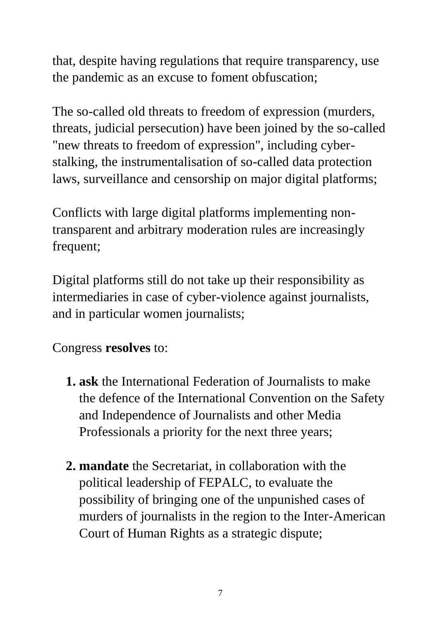that, despite having regulations that require transparency, use the pandemic as an excuse to foment obfuscation;

The so-called old threats to freedom of expression (murders, threats, judicial persecution) have been joined by the so-called "new threats to freedom of expression", including cyberstalking, the instrumentalisation of so-called data protection laws, surveillance and censorship on major digital platforms;

Conflicts with large digital platforms implementing nontransparent and arbitrary moderation rules are increasingly frequent;

Digital platforms still do not take up their responsibility as intermediaries in case of cyber-violence against journalists, and in particular women journalists;

Congress **resolves** to:

- **1. ask** the International Federation of Journalists to make the defence of the International Convention on the Safety and Independence of Journalists and other Media Professionals a priority for the next three years;
- **2. mandate** the Secretariat, in collaboration with the political leadership of FEPALC, to evaluate the possibility of bringing one of the unpunished cases of murders of journalists in the region to the Inter-American Court of Human Rights as a strategic dispute;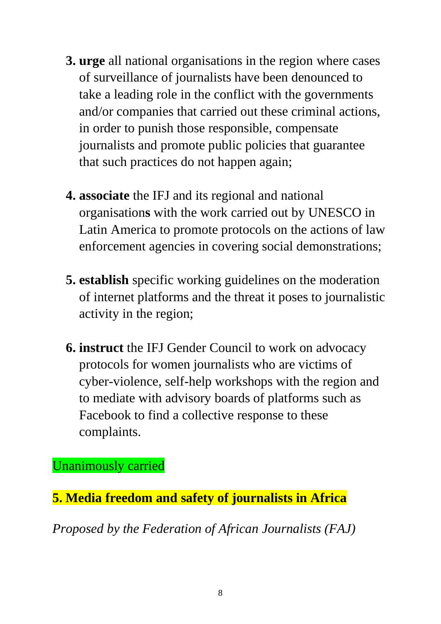- **3. urge** all national organisations in the region where cases of surveillance of journalists have been denounced to take a leading role in the conflict with the governments and/or companies that carried out these criminal actions, in order to punish those responsible, compensate journalists and promote public policies that guarantee that such practices do not happen again;
- **4. associate** the IFJ and its regional and national organisation**s** with the work carried out by UNESCO in Latin America to promote protocols on the actions of law enforcement agencies in covering social demonstrations;
- **5. establish** specific working guidelines on the moderation of internet platforms and the threat it poses to journalistic activity in the region;
- **6. instruct** the IFJ Gender Council to work on advocacy protocols for women journalists who are victims of cyber-violence, self-help workshops with the region and to mediate with advisory boards of platforms such as Facebook to find a collective response to these complaints.

Unanimously carried

**5. Media freedom and safety of journalists in Africa** 

*Proposed by the Federation of African Journalists (FAJ)*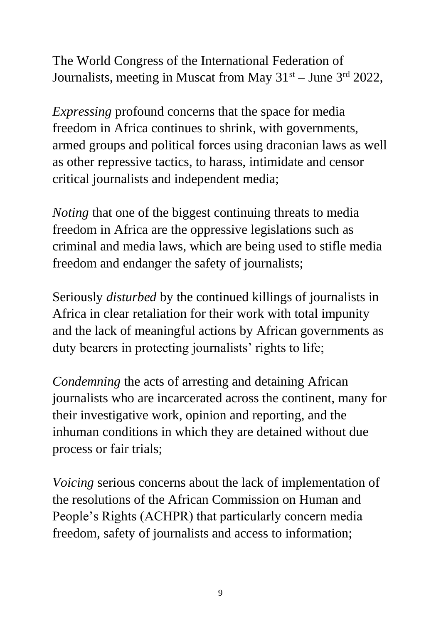The World Congress of the International Federation of Journalists, meeting in Muscat from May  $31<sup>st</sup> -$  June  $3<sup>rd</sup>$  2022,

*Expressing* profound concerns that the space for media freedom in Africa continues to shrink, with governments, armed groups and political forces using draconian laws as well as other repressive tactics, to harass, intimidate and censor critical journalists and independent media;

*Noting* that one of the biggest continuing threats to media freedom in Africa are the oppressive legislations such as criminal and media laws, which are being used to stifle media freedom and endanger the safety of journalists;

Seriously *disturbed* by the continued killings of journalists in Africa in clear retaliation for their work with total impunity and the lack of meaningful actions by African governments as duty bearers in protecting journalists' rights to life;

*Condemning* the acts of arresting and detaining African journalists who are incarcerated across the continent, many for their investigative work, opinion and reporting, and the inhuman conditions in which they are detained without due process or fair trials;

*Voicing* serious concerns about the lack of implementation of the resolutions of the African Commission on Human and People's Rights (ACHPR) that particularly concern media freedom, safety of journalists and access to information;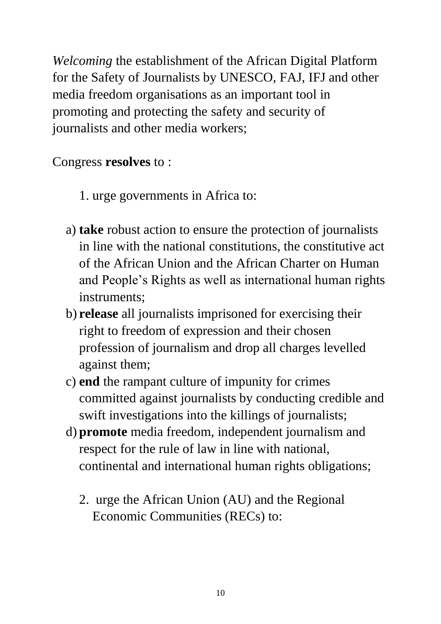*Welcoming* the establishment of the African Digital Platform for the Safety of Journalists by UNESCO, FAJ, IFJ and other media freedom organisations as an important tool in promoting and protecting the safety and security of journalists and other media workers;

#### Congress **resolves** to :

- 1. urge governments in Africa to:
- a) **take** robust action to ensure the protection of journalists in line with the national constitutions, the constitutive act of the African Union and the African Charter on Human and People's Rights as well as international human rights instruments;
- b) **release** all journalists imprisoned for exercising their right to freedom of expression and their chosen profession of journalism and drop all charges levelled against them;
- c) **end** the rampant culture of impunity for crimes committed against journalists by conducting credible and swift investigations into the killings of journalists;
- d) **promote** media freedom, independent journalism and respect for the rule of law in line with national, continental and international human rights obligations;
	- 2. urge the African Union (AU) and the Regional Economic Communities (RECs) to: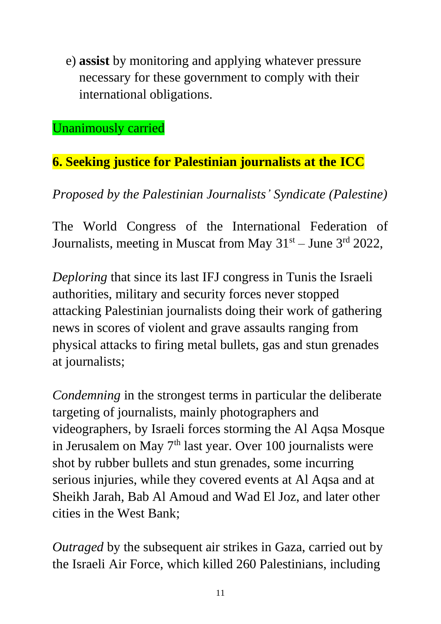e) **assist** by monitoring and applying whatever pressure necessary for these government to comply with their international obligations.

Unanimously carried

# **6. Seeking justice for Palestinian journalists at the ICC**

*Proposed by the Palestinian Journalists' Syndicate (Palestine)*

The World Congress of the International Federation of Journalists, meeting in Muscat from May  $31<sup>st</sup> -$  June  $3<sup>rd</sup>$  2022,

*Deploring* that since its last IFJ congress in Tunis the Israeli authorities, military and security forces never stopped attacking Palestinian journalists doing their work of gathering news in scores of violent and grave assaults ranging from physical attacks to firing metal bullets, gas and stun grenades at journalists;

*Condemning* in the strongest terms in particular the deliberate targeting of journalists, mainly photographers and videographers, by Israeli forces storming the Al Aqsa Mosque in Jerusalem on May 7<sup>th</sup> last year. Over 100 journalists were shot by rubber bullets and stun grenades, some incurring serious injuries, while they covered events at Al Aqsa and at Sheikh Jarah, Bab Al Amoud and Wad El Joz, and later other cities in the West Bank;

*Outraged* by the subsequent air strikes in Gaza, carried out by the Israeli Air Force, which killed 260 Palestinians, including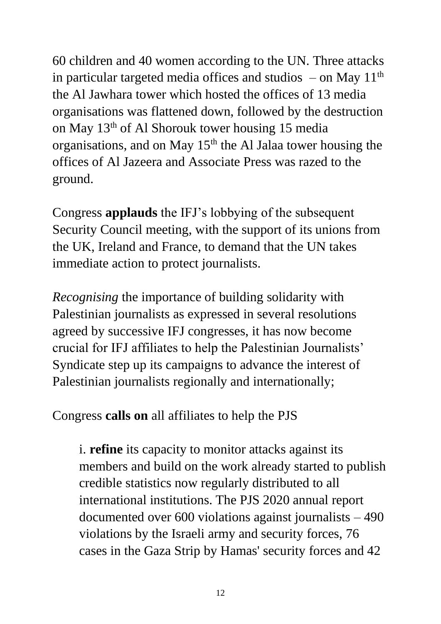60 children and 40 women according to the UN. Three attacks in particular targeted media offices and studios  $-$  on May  $11<sup>th</sup>$ the Al Jawhara tower which hosted the offices of 13 media organisations was flattened down, followed by the destruction on May  $13<sup>th</sup>$  of Al Shorouk tower housing 15 media organisations, and on May  $15<sup>th</sup>$  the Al Jalaa tower housing the offices of Al Jazeera and Associate Press was razed to the ground.

Congress **applauds** the IFJ's lobbying of the subsequent Security Council meeting, with the support of its unions from the UK, Ireland and France, to demand that the UN takes immediate action to protect journalists.

*Recognising* the importance of building solidarity with Palestinian journalists as expressed in several resolutions agreed by successive IFJ congresses, it has now become crucial for IFJ affiliates to help the Palestinian Journalists' Syndicate step up its campaigns to advance the interest of Palestinian journalists regionally and internationally;

Congress **calls on** all affiliates to help the PJS

i. **refine** its capacity to monitor attacks against its members and build on the work already started to publish credible statistics now regularly distributed to all international institutions. The PJS 2020 annual report documented over 600 violations against journalists – 490 violations by the Israeli army and security forces, 76 cases in the Gaza Strip by Hamas' security forces and 42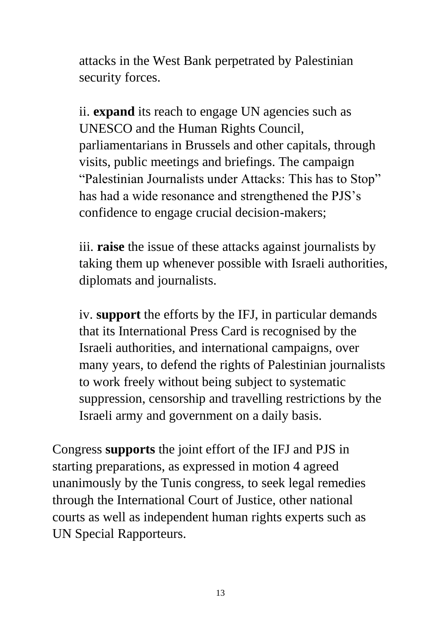attacks in the West Bank perpetrated by Palestinian security forces.

ii. **expand** its reach to engage UN agencies such as UNESCO and the Human Rights Council, parliamentarians in Brussels and other capitals, through visits, public meetings and briefings. The campaign "Palestinian Journalists under Attacks: This has to Stop" has had a wide resonance and strengthened the PJS's confidence to engage crucial decision-makers;

iii. **raise** the issue of these attacks against journalists by taking them up whenever possible with Israeli authorities, diplomats and journalists.

iv. **support** the efforts by the IFJ, in particular demands that its International Press Card is recognised by the Israeli authorities, and international campaigns, over many years, to defend the rights of Palestinian journalists to work freely without being subject to systematic suppression, censorship and travelling restrictions by the Israeli army and government on a daily basis.

Congress **supports** the joint effort of the IFJ and PJS in starting preparations, as expressed in motion 4 agreed unanimously by the Tunis congress, to seek legal remedies through the International Court of Justice, other national courts as well as independent human rights experts such as UN Special Rapporteurs.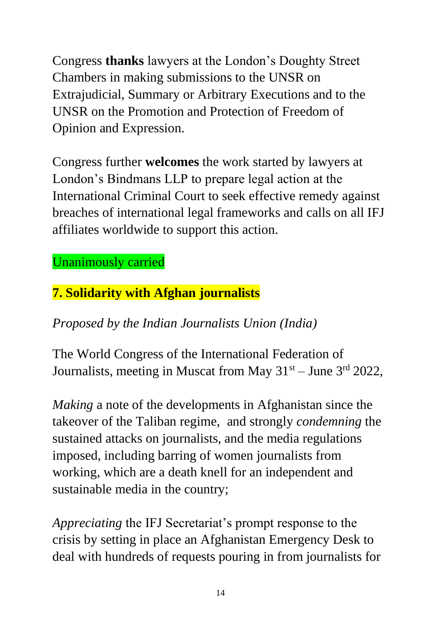Congress **thanks** lawyers at the London's Doughty Street Chambers in making submissions to the UNSR on Extrajudicial, Summary or Arbitrary Executions and to the UNSR on the Promotion and Protection of Freedom of Opinion and Expression.

Congress further **welcomes** the work started by lawyers at London's Bindmans LLP to prepare legal action at the International Criminal Court to seek effective remedy against breaches of international legal frameworks and calls on all IFJ affiliates worldwide to support this action.

### Unanimously carried

# **7. Solidarity with Afghan journalists**

## *Proposed by the Indian Journalists Union (India)*

The World Congress of the International Federation of Journalists, meeting in Muscat from May  $31<sup>st</sup> -$  June  $3<sup>rd</sup>$  2022,

*Making* a note of the developments in Afghanistan since the takeover of the Taliban regime, and strongly *condemning* the sustained attacks on journalists, and the media regulations imposed, including barring of women journalists from working, which are a death knell for an independent and sustainable media in the country;

*Appreciating* the IFJ Secretariat's prompt response to the crisis by setting in place an Afghanistan Emergency Desk to deal with hundreds of requests pouring in from journalists for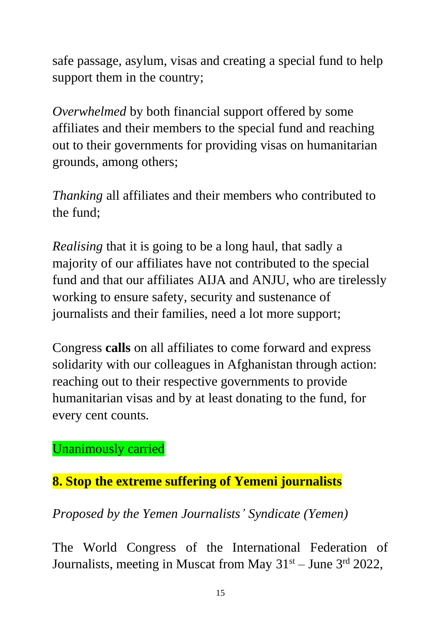safe passage, asylum, visas and creating a special fund to help support them in the country;

*Overwhelmed* by both financial support offered by some affiliates and their members to the special fund and reaching out to their governments for providing visas on humanitarian grounds, among others;

*Thanking* all affiliates and their members who contributed to the fund;

*Realising* that it is going to be a long haul, that sadly a majority of our affiliates have not contributed to the special fund and that our affiliates AIJA and ANJU, who are tirelessly working to ensure safety, security and sustenance of journalists and their families, need a lot more support;

Congress **calls** on all affiliates to come forward and express solidarity with our colleagues in Afghanistan through action: reaching out to their respective governments to provide humanitarian visas and by at least donating to the fund, for every cent counts.

Unanimously carried

**8. Stop the extreme suffering of Yemeni journalists**

*Proposed by the Yemen Journalists' Syndicate (Yemen)*

The World Congress of the International Federation of Journalists, meeting in Muscat from May  $31<sup>st</sup> -$  June  $3<sup>rd</sup>$  2022,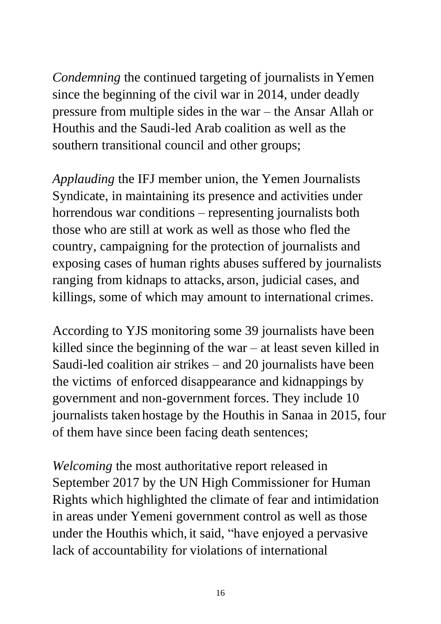*Condemning* the continued targeting of journalists in Yemen since the beginning of the civil war in 2014, under deadly pressure from multiple sides in the war – the Ansar Allah or Houthis and the Saudi-led Arab coalition as well as the southern transitional council and other groups;

*Applauding* the IFJ member union, the Yemen Journalists Syndicate, in maintaining its presence and activities under horrendous war conditions – representing journalists both those who are still at work as well as those who fled the country, campaigning for the protection of journalists and exposing cases of human rights abuses suffered by journalists ranging from kidnaps to attacks, arson, judicial cases, and killings, some of which may amount to international crimes.

According to YJS monitoring some 39 journalists have been killed since the beginning of the war – at least seven killed in Saudi-led coalition air strikes – and 20 journalists have been the victims of enforced disappearance and kidnappings by government and non-government forces. They include 10 journalists taken hostage by the Houthis in Sanaa in 2015, four of them have since been facing death sentences;

*Welcoming* the most authoritative report released in September 2017 by the UN High Commissioner for Human Rights which highlighted the climate of fear and intimidation in areas under Yemeni government control as well as those under the Houthis which, it said, "have enjoyed a pervasive lack of accountability for violations of international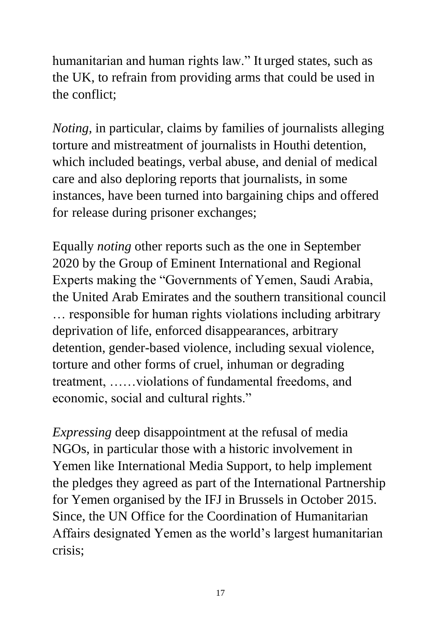humanitarian and human rights law." It urged states, such as the UK, to refrain from providing arms that could be used in the conflict;

*Noting,* in particular, claims by families of journalists alleging torture and mistreatment of journalists in Houthi detention, which included beatings, verbal abuse, and denial of medical care and also deploring reports that journalists, in some instances, have been turned into bargaining chips and offered for release during prisoner exchanges;

Equally *noting* other reports such as the one in September 2020 by the Group of Eminent International and Regional Experts making the "Governments of Yemen, Saudi Arabia, the United Arab Emirates and the southern transitional council … responsible for human rights violations including arbitrary deprivation of life, enforced disappearances, arbitrary detention, gender-based violence, including sexual violence, torture and other forms of cruel, inhuman or degrading treatment, ……violations of fundamental freedoms, and economic, social and cultural rights."

*Expressing* deep disappointment at the refusal of media NGOs, in particular those with a historic involvement in Yemen like International Media Support, to help implement the pledges they agreed as part of the International Partnership for Yemen organised by the IFJ in Brussels in October 2015. Since, the UN Office for the Coordination of Humanitarian Affairs designated Yemen as the world's largest humanitarian crisis;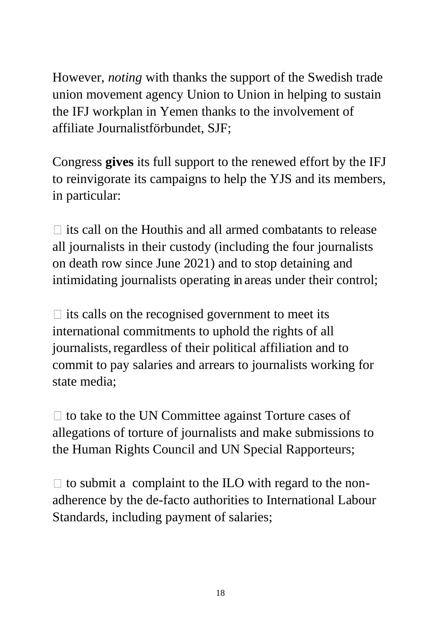However, *noting* with thanks the support of the Swedish trade union movement agency Union to Union in helping to sustain the IFJ workplan in Yemen thanks to the involvement of affiliate Journalistförbundet, SJF;

Congress **gives** its full support to the renewed effort by the IFJ to reinvigorate its campaigns to help the YJS and its members, in particular:

 $\Box$  its call on the Houthis and all armed combatants to release all journalists in their custody (including the four journalists on death row since June 2021) and to stop detaining and intimidating journalists operating in areas under their control;

 $\Box$  its calls on the recognised government to meet its international commitments to uphold the rights of all journalists, regardless of their political affiliation and to commit to pay salaries and arrears to journalists working for state media;

 $\Box$  to take to the UN Committee against Torture cases of allegations of torture of journalists and make submissions to the Human Rights Council and UN Special Rapporteurs;

 $\Box$  to submit a complaint to the ILO with regard to the nonadherence by the de-facto authorities to International Labour Standards, including payment of salaries;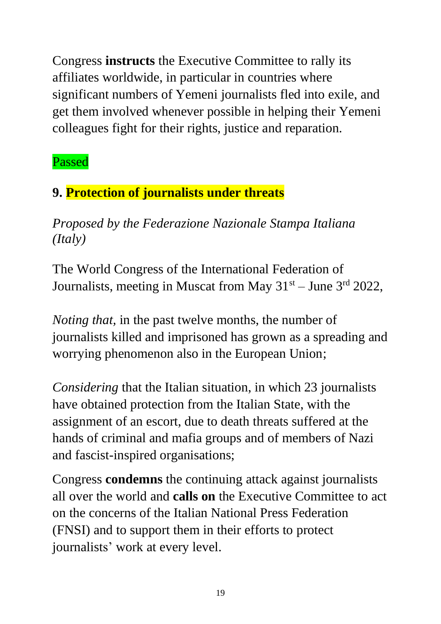Congress **instructs** the Executive Committee to rally its affiliates worldwide, in particular in countries where significant numbers of Yemeni journalists fled into exile, and get them involved whenever possible in helping their Yemeni colleagues fight for their rights, justice and reparation.

Passed

# **9. Protection of journalists under threats**

*Proposed by the Federazione Nazionale Stampa Italiana (Italy)*

The World Congress of the International Federation of Journalists, meeting in Muscat from May 31<sup>st</sup> – June 3<sup>rd</sup> 2022,

*Noting that,* in the past twelve months, the number of journalists killed and imprisoned has grown as a spreading and worrying phenomenon also in the European Union;

*Considering* that the Italian situation, in which 23 journalists have obtained protection from the Italian State, with the assignment of an escort, due to death threats suffered at the hands of criminal and mafia groups and of members of Nazi and fascist-inspired organisations;

Congress **condemns** the continuing attack against journalists all over the world and **calls on** the Executive Committee to act on the concerns of the Italian National Press Federation (FNSI) and to support them in their efforts to protect journalists' work at every level.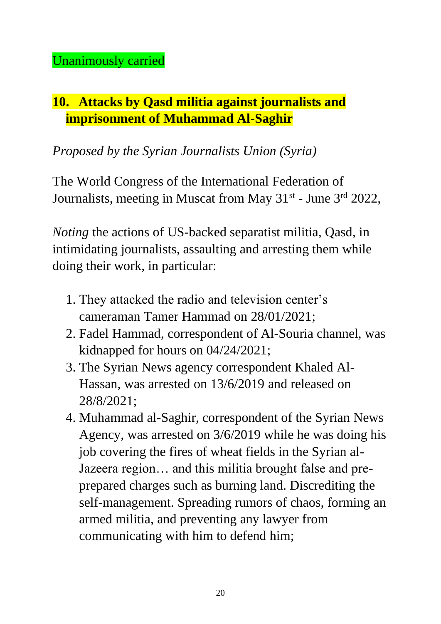# **10. Attacks by Qasd militia against journalists and imprisonment of Muhammad Al-Saghir**

*Proposed by the Syrian Journalists Union (Syria)*

The World Congress of the International Federation of Journalists, meeting in Muscat from May 31<sup>st</sup> - June 3<sup>rd</sup> 2022,

*Noting* the actions of US-backed separatist militia, Qasd, in intimidating journalists, assaulting and arresting them while doing their work, in particular:

- 1. They attacked the radio and television center's cameraman Tamer Hammad on 28/01/2021;
- 2. Fadel Hammad, correspondent of Al-Souria channel, was kidnapped for hours on 04/24/2021;
- 3. The Syrian News agency correspondent Khaled Al-Hassan, was arrested on 13/6/2019 and released on 28/8/2021;
- 4. Muhammad al-Saghir, correspondent of the Syrian News Agency, was arrested on 3/6/2019 while he was doing his job covering the fires of wheat fields in the Syrian al-Jazeera region… and this militia brought false and preprepared charges such as burning land. Discrediting the self-management. Spreading rumors of chaos, forming an armed militia, and preventing any lawyer from communicating with him to defend him;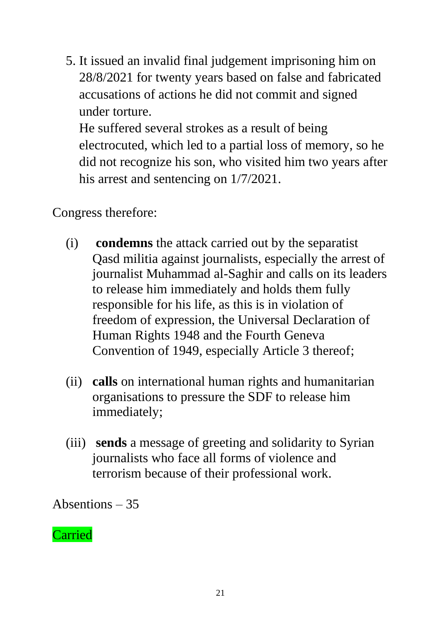5. It issued an invalid final judgement imprisoning him on 28/8/2021 for twenty years based on false and fabricated accusations of actions he did not commit and signed under torture.

He suffered several strokes as a result of being electrocuted, which led to a partial loss of memory, so he did not recognize his son, who visited him two years after his arrest and sentencing on 1/7/2021.

### Congress therefore:

- (i) **condemns** the attack carried out by the separatist Qasd militia against journalists, especially the arrest of journalist Muhammad al-Saghir and calls on its leaders to release him immediately and holds them fully responsible for his life, as this is in violation of freedom of expression, the Universal Declaration of Human Rights 1948 and the Fourth Geneva Convention of 1949, especially Article 3 thereof;
- (ii) **calls** on international human rights and humanitarian organisations to pressure the SDF to release him immediately;
- (iii) **sends** a message of greeting and solidarity to Syrian journalists who face all forms of violence and terrorism because of their professional work.

Absentions – 35

#### Carried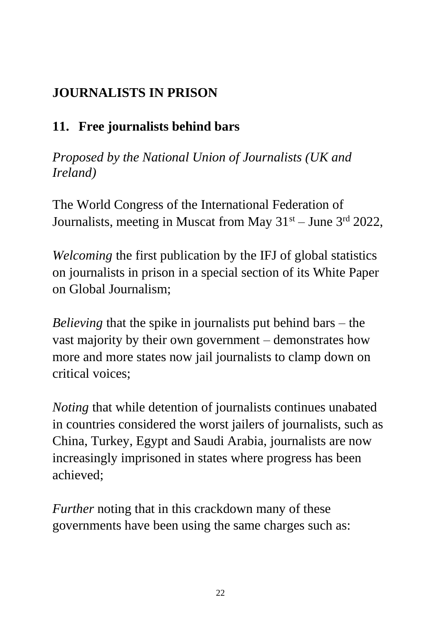# **JOURNALISTS IN PRISON**

# **11. Free journalists behind bars**

*Proposed by the National Union of Journalists (UK and Ireland)*

The World Congress of the International Federation of Journalists, meeting in Muscat from May  $31<sup>st</sup> - June 3<sup>rd</sup> 2022$ ,

*Welcoming* the first publication by the IFJ of global statistics on journalists in prison in a special section of its White Paper on Global Journalism;

*Believing* that the spike in journalists put behind bars – the vast majority by their own government – demonstrates how more and more states now jail journalists to clamp down on critical voices;

*Noting* that while detention of journalists continues unabated in countries considered the worst jailers of journalists, such as China, Turkey, Egypt and Saudi Arabia, journalists are now increasingly imprisoned in states where progress has been achieved;

*Further* noting that in this crackdown many of these governments have been using the same charges such as: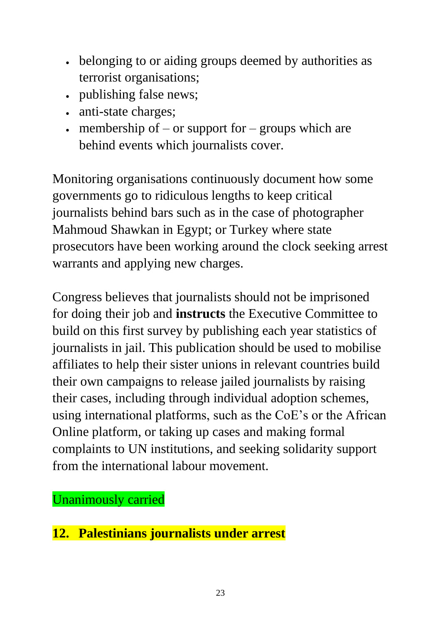- belonging to or aiding groups deemed by authorities as terrorist organisations;
- publishing false news;
- anti-state charges;
- membership of  $-$  or support for  $-$  groups which are behind events which journalists cover.

Monitoring organisations continuously document how some governments go to ridiculous lengths to keep critical journalists behind bars such as in the case of photographer Mahmoud Shawkan in Egypt; or Turkey where state prosecutors have been working around the clock seeking arrest warrants and applying new charges.

Congress believes that journalists should not be imprisoned for doing their job and **instructs** the Executive Committee to build on this first survey by publishing each year statistics of journalists in jail. This publication should be used to mobilise affiliates to help their sister unions in relevant countries build their own campaigns to release jailed journalists by raising their cases, including through individual adoption schemes, using international platforms, such as the CoE's or the African Online platform, or taking up cases and making formal complaints to UN institutions, and seeking solidarity support from the international labour movement.

Unanimously carried

**12. Palestinians journalists under arrest**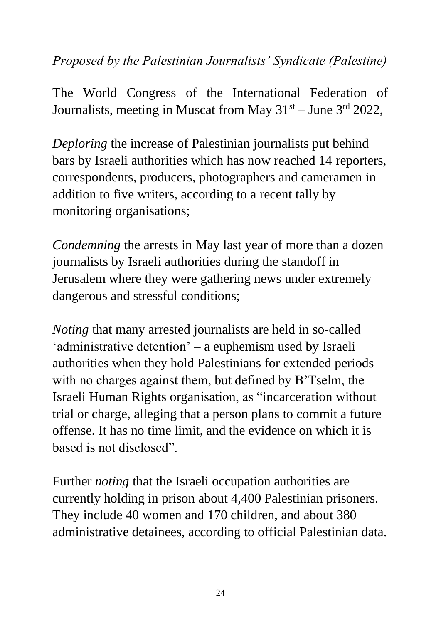#### *Proposed by the Palestinian Journalists' Syndicate (Palestine)*

The World Congress of the International Federation of Journalists, meeting in Muscat from May  $31<sup>st</sup> -$  June  $3<sup>rd</sup>$  2022,

*Deploring* the increase of Palestinian journalists put behind bars by Israeli authorities which has now reached 14 reporters, correspondents, producers, photographers and cameramen in addition to five writers, according to a recent tally by monitoring organisations;

*Condemning* the arrests in May last year of more than a dozen journalists by Israeli authorities during the standoff in Jerusalem where they were gathering news under extremely dangerous and stressful conditions;

*Noting* that many arrested journalists are held in so-called 'administrative detention' – a euphemism used by Israeli authorities when they hold Palestinians for extended periods with no charges against them, but defined by B'Tselm, the Israeli Human Rights organisation, as "incarceration without trial or charge, alleging that a person plans to commit a future offense. It has no time limit, and the evidence on which it is based is not disclosed".

Further *noting* that the Israeli occupation authorities are currently holding in prison about 4,400 Palestinian prisoners. They include 40 women and 170 children, and about 380 administrative detainees, according to official Palestinian data.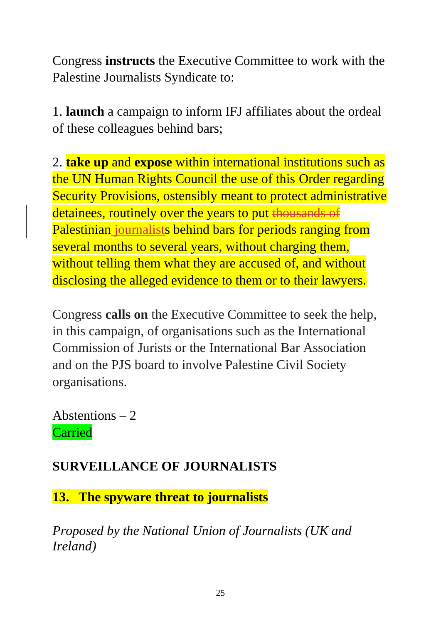Congress **instructs** the Executive Committee to work with the Palestine Journalists Syndicate to:

1. **launch** a campaign to inform IFJ affiliates about the ordeal of these colleagues behind bars;

2. **take up** and **expose** within international institutions such as the UN Human Rights Council the use of this Order regarding Security Provisions, ostensibly meant to protect administrative detainees, routinely over the years to put thousands of Palestinian journalists behind bars for periods ranging from several months to several years, without charging them, without telling them what they are accused of, and without disclosing the alleged evidence to them or to their lawyers.

Congress **calls on** the Executive Committee to seek the help, in this campaign, of organisations such as the International Commission of Jurists or the International Bar Association and on the PJS board to involve Palestine Civil Society organisations.

Abstentions  $-2$ Carried

## **SURVEILLANCE OF JOURNALISTS**

**13. The spyware threat to journalists**

*Proposed by the National Union of Journalists (UK and Ireland)*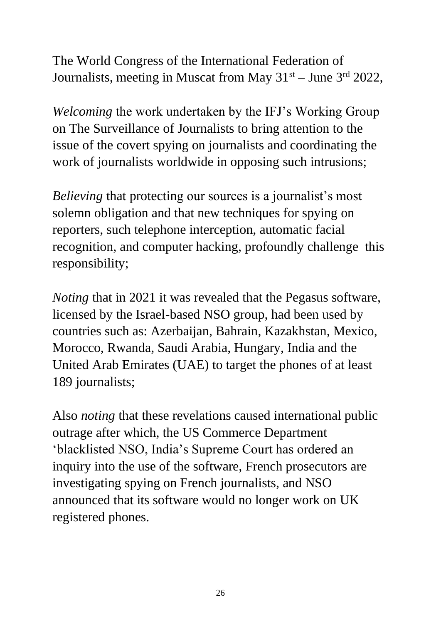The World Congress of the International Federation of Journalists, meeting in Muscat from May  $31<sup>st</sup> -$  June  $3<sup>rd</sup>$  2022,

*Welcoming* the work undertaken by the IFJ's Working Group on The Surveillance of Journalists to bring attention to the issue of the covert spying on journalists and coordinating the work of journalists worldwide in opposing such intrusions;

*Believing* that protecting our sources is a journalist's most solemn obligation and that new techniques for spying on reporters, such telephone interception, automatic facial recognition, and computer hacking, profoundly challenge this responsibility;

*Noting* that in 2021 it was revealed that the Pegasus software, licensed by the Israel-based NSO group, had been used by countries such as: Azerbaijan, Bahrain, Kazakhstan, Mexico, Morocco, Rwanda, Saudi Arabia, Hungary, India and the United Arab Emirates (UAE) to target the phones of at least 189 journalists;

Also *noting* that these revelations caused international public outrage after which, the US Commerce Department 'blacklisted NSO, India's Supreme Court has ordered an inquiry into the use of the software, French prosecutors are investigating spying on French journalists, and NSO announced that its software would no longer work on UK registered phones.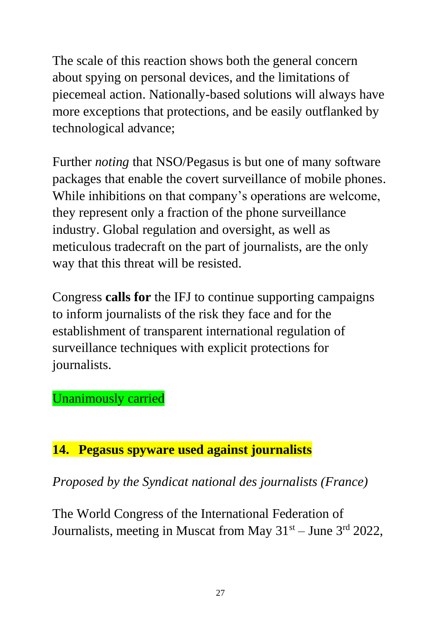The scale of this reaction shows both the general concern about spying on personal devices, and the limitations of piecemeal action. Nationally-based solutions will always have more exceptions that protections, and be easily outflanked by technological advance;

Further *noting* that NSO/Pegasus is but one of many software packages that enable the covert surveillance of mobile phones. While inhibitions on that company's operations are welcome, they represent only a fraction of the phone surveillance industry. Global regulation and oversight, as well as meticulous tradecraft on the part of journalists, are the only way that this threat will be resisted.

Congress **calls for** the IFJ to continue supporting campaigns to inform journalists of the risk they face and for the establishment of transparent international regulation of surveillance techniques with explicit protections for journalists.

#### Unanimously carried

#### **14. Pegasus spyware used against journalists**

*Proposed by the Syndicat national des journalists (France)*

The World Congress of the International Federation of Journalists, meeting in Muscat from May  $31<sup>st</sup> - June 3<sup>rd</sup> 2022$ ,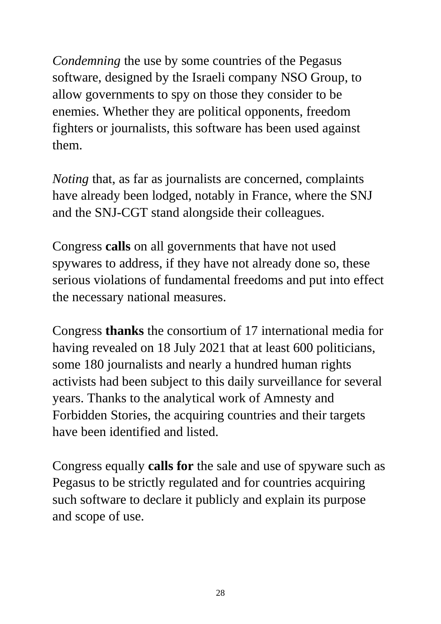*Condemning* the use by some countries of the Pegasus software, designed by the Israeli company NSO Group, to allow governments to spy on those they consider to be enemies. Whether they are political opponents, freedom fighters or journalists, this software has been used against them.

*Noting* that, as far as journalists are concerned, complaints have already been lodged, notably in France, where the SNJ and the SNJ-CGT stand alongside their colleagues.

Congress **calls** on all governments that have not used spywares to address, if they have not already done so, these serious violations of fundamental freedoms and put into effect the necessary national measures.

Congress **thanks** the consortium of 17 international media for having revealed on 18 July 2021 that at least 600 politicians, some 180 journalists and nearly a hundred human rights activists had been subject to this daily surveillance for several years. Thanks to the analytical work of Amnesty and Forbidden Stories, the acquiring countries and their targets have been identified and listed.

Congress equally **calls for** the sale and use of spyware such as Pegasus to be strictly regulated and for countries acquiring such software to declare it publicly and explain its purpose and scope of use.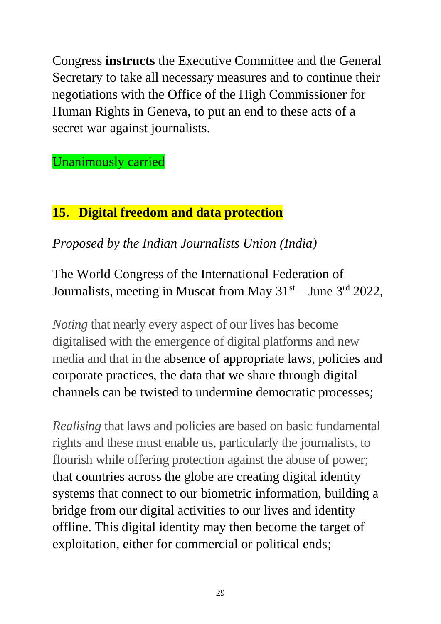Congress **instructs** the Executive Committee and the General Secretary to take all necessary measures and to continue their negotiations with the Office of the High Commissioner for Human Rights in Geneva, to put an end to these acts of a secret war against journalists.

Unanimously carried

## **15. Digital freedom and data protection**

*Proposed by the Indian Journalists Union (India)*

The World Congress of the International Federation of Journalists, meeting in Muscat from May  $31<sup>st</sup> -$  June  $3<sup>rd</sup>$  2022,

*Noting* that nearly every aspect of our lives has become digitalised with the emergence of digital platforms and new media and that in the absence of appropriate laws, policies and corporate practices, the data that we share through digital channels can be twisted to undermine democratic processes;

*Realising* that laws and policies are based on basic fundamental rights and these must enable us, particularly the journalists, to flourish while offering protection against the abuse of power; that countries across the globe are creating digital identity systems that connect to our biometric information, building a bridge from our digital activities to our lives and identity offline. This digital identity may then become the target of exploitation, either for commercial or political ends;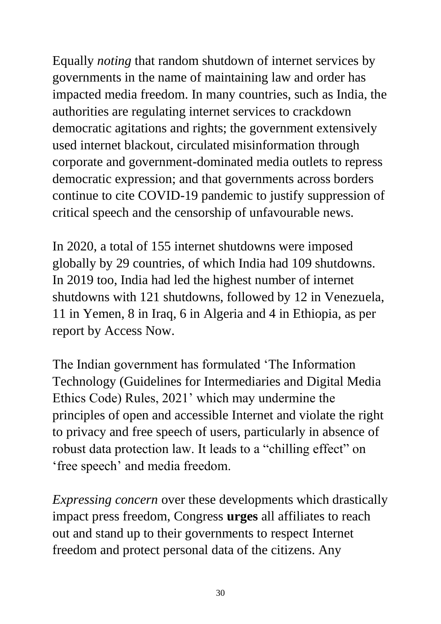Equally *noting* that random shutdown of internet services by governments in the name of maintaining law and order has impacted media freedom. In many countries, such as India, the authorities are regulating internet services to crackdown democratic agitations and rights; the government extensively used internet blackout, circulated misinformation through corporate and government-dominated media outlets to repress democratic expression; and that governments across borders continue to cite COVID-19 pandemic to justify suppression of critical speech and the censorship of unfavourable news.

In 2020, a total of 155 internet shutdowns were imposed globally by 29 countries, of which India had 109 shutdowns. In 2019 too, India had led the highest number of internet shutdowns with 121 shutdowns, followed by 12 in Venezuela, 11 in Yemen, 8 in Iraq, 6 in Algeria and 4 in Ethiopia, as per report by Access Now.

The Indian government has formulated 'The Information Technology (Guidelines for Intermediaries and Digital Media Ethics Code) Rules, 2021' which may undermine the principles of open and accessible Internet and violate the right to privacy and free speech of users, particularly in absence of robust data protection law. It leads to a "chilling effect" on 'free speech' and media freedom.

*Expressing concern* over these developments which drastically impact press freedom, Congress **urges** all affiliates to reach out and stand up to their governments to respect Internet freedom and protect personal data of the citizens. Any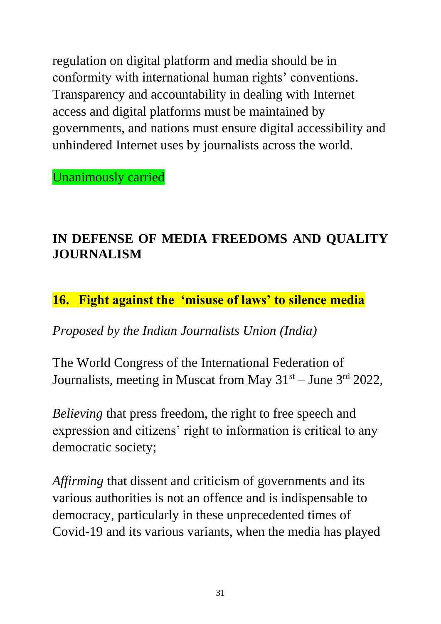regulation on digital platform and media should be in conformity with international human rights' conventions. Transparency and accountability in dealing with Internet access and digital platforms must be maintained by governments, and nations must ensure digital accessibility and unhindered Internet uses by journalists across the world.

Unanimously carried

# **IN DEFENSE OF MEDIA FREEDOMS AND QUALITY JOURNALISM**

#### **16. Fight against the 'misuse of laws' to silence media**

*Proposed by the Indian Journalists Union (India)*

The World Congress of the International Federation of Journalists, meeting in Muscat from May  $31<sup>st</sup> -$  June  $3<sup>rd</sup>$  2022,

*Believing* that press freedom, the right to free speech and expression and citizens' right to information is critical to any democratic society;

*Affirming* that dissent and criticism of governments and its various authorities is not an offence and is indispensable to democracy, particularly in these unprecedented times of Covid-19 and its various variants, when the media has played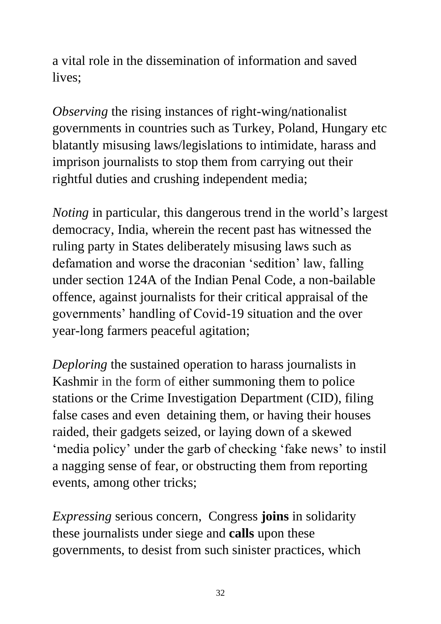a vital role in the dissemination of information and saved lives;

*Observing* the rising instances of right-wing/nationalist governments in countries such as Turkey, Poland, Hungary etc blatantly misusing laws/legislations to intimidate, harass and imprison journalists to stop them from carrying out their rightful duties and crushing independent media;

*Noting* in particular, this dangerous trend in the world's largest democracy, India, wherein the recent past has witnessed the ruling party in States deliberately misusing laws such as defamation and worse the draconian 'sedition' law, falling under section 124A of the Indian Penal Code, a non-bailable offence, against journalists for their critical appraisal of the governments' handling of Covid-19 situation and the over year-long farmers peaceful agitation;

*Deploring* the sustained operation to harass journalists in Kashmir in the form of either summoning them to police stations or the Crime Investigation Department (CID), filing false cases and even detaining them, or having their houses raided, their gadgets seized, or laying down of a skewed 'media policy' under the garb of checking 'fake news' to instil a nagging sense of fear, or obstructing them from reporting events, among other tricks;

*Expressing* serious concern, Congress **joins** in solidarity these journalists under siege and **calls** upon these governments, to desist from such sinister practices, which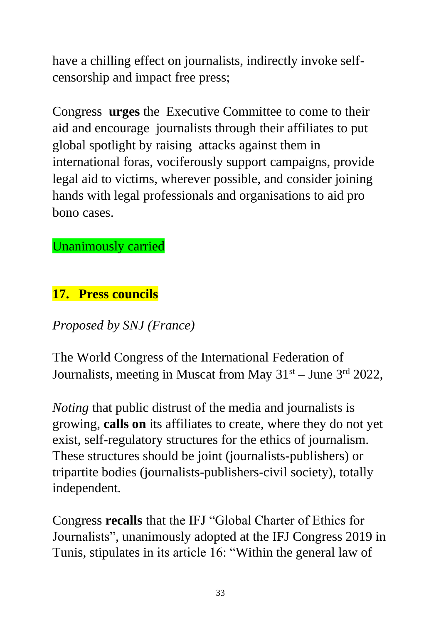have a chilling effect on journalists, indirectly invoke selfcensorship and impact free press;

Congress **urges** the Executive Committee to come to their aid and encourage journalists through their affiliates to put global spotlight by raising attacks against them in international foras, vociferously support campaigns, provide legal aid to victims, wherever possible, and consider joining hands with legal professionals and organisations to aid pro bono cases.

### Unanimously carried

#### **17. Press councils**

## *Proposed by SNJ (France)*

The World Congress of the International Federation of Journalists, meeting in Muscat from May  $31<sup>st</sup> - June 3<sup>rd</sup> 2022$ ,

*Noting* that public distrust of the media and journalists is growing, **calls on** its affiliates to create, where they do not yet exist, self-regulatory structures for the ethics of journalism. These structures should be joint (journalists-publishers) or tripartite bodies (journalists-publishers-civil society), totally independent.

Congress **recalls** that the IFJ "Global Charter of Ethics for Journalists", unanimously adopted at the IFJ Congress 2019 in Tunis, stipulates in its article 16: "Within the general law of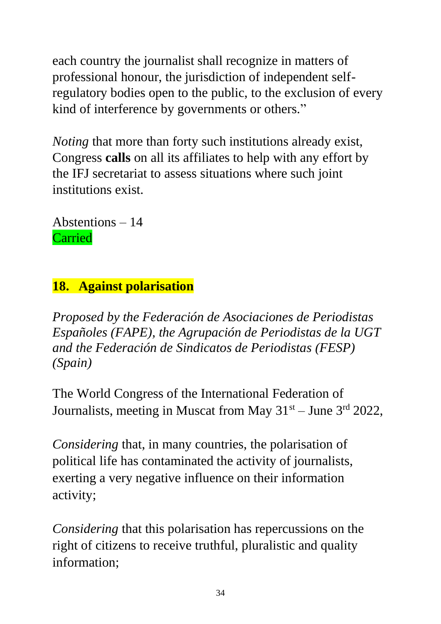each country the journalist shall recognize in matters of professional honour, the jurisdiction of independent selfregulatory bodies open to the public, to the exclusion of every kind of interference by governments or others."

*Noting* that more than forty such institutions already exist, Congress **calls** on all its affiliates to help with any effort by the IFJ secretariat to assess situations where such joint institutions exist.

Abstentions – 14 Carried

# **18. Against polarisation**

*Proposed by the Federación de Asociaciones de Periodistas Españoles (FAPE), the Agrupación de Periodistas de la UGT and the Federación de Sindicatos de Periodistas (FESP) (Spain)*

The World Congress of the International Federation of Journalists, meeting in Muscat from May  $31<sup>st</sup> -$  June  $3<sup>rd</sup>$  2022,

*Considering* that, in many countries, the polarisation of political life has contaminated the activity of journalists, exerting a very negative influence on their information activity;

*Considering* that this polarisation has repercussions on the right of citizens to receive truthful, pluralistic and quality information;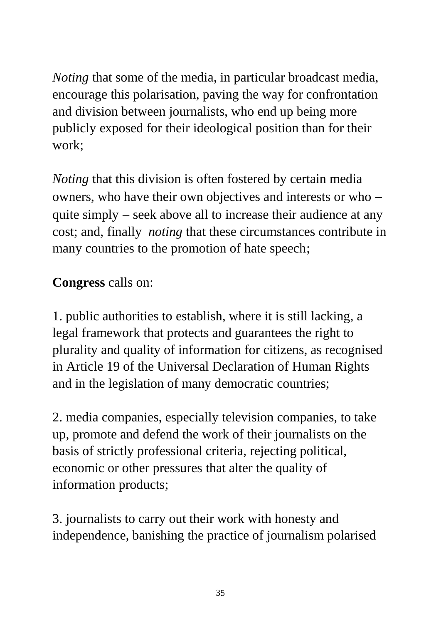*Noting* that some of the media, in particular broadcast media, encourage this polarisation, paving the way for confrontation and division between journalists, who end up being more publicly exposed for their ideological position than for their work;

*Noting* that this division is often fostered by certain media owners, who have their own objectives and interests or who − quite simply – seek above all to increase their audience at any cost; and, finally *noting* that these circumstances contribute in many countries to the promotion of hate speech;

# **Congress** calls on:

1. public authorities to establish, where it is still lacking, a legal framework that protects and guarantees the right to plurality and quality of information for citizens, as recognised in Article 19 of the Universal Declaration of Human Rights and in the legislation of many democratic countries;

2. media companies, especially television companies, to take up, promote and defend the work of their journalists on the basis of strictly professional criteria, rejecting political, economic or other pressures that alter the quality of information products;

3. journalists to carry out their work with honesty and independence, banishing the practice of journalism polarised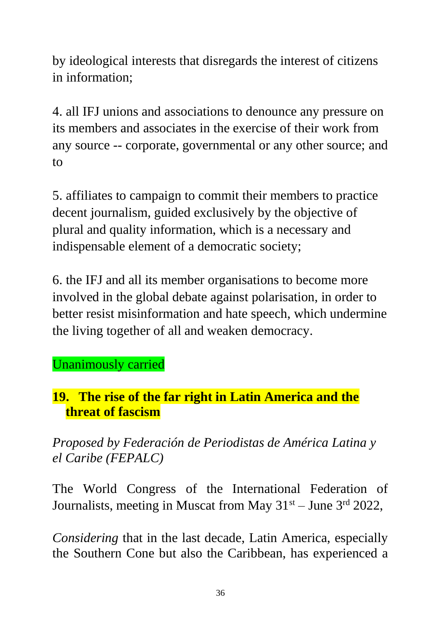by ideological interests that disregards the interest of citizens in information;

4. all IFJ unions and associations to denounce any pressure on its members and associates in the exercise of their work from any source -- corporate, governmental or any other source; and to

5. affiliates to campaign to commit their members to practice decent journalism, guided exclusively by the objective of plural and quality information, which is a necessary and indispensable element of a democratic society;

6. the IFJ and all its member organisations to become more involved in the global debate against polarisation, in order to better resist misinformation and hate speech, which undermine the living together of all and weaken democracy.

## Unanimously carried

#### **19. The rise of the far right in Latin America and the threat of fascism**

*Proposed by Federación de Periodistas de América Latina y el Caribe (FEPALC)*

The World Congress of the International Federation of Journalists, meeting in Muscat from May  $31<sup>st</sup> -$  June  $3<sup>rd</sup>$  2022,

*Considering* that in the last decade, Latin America, especially the Southern Cone but also the Caribbean, has experienced a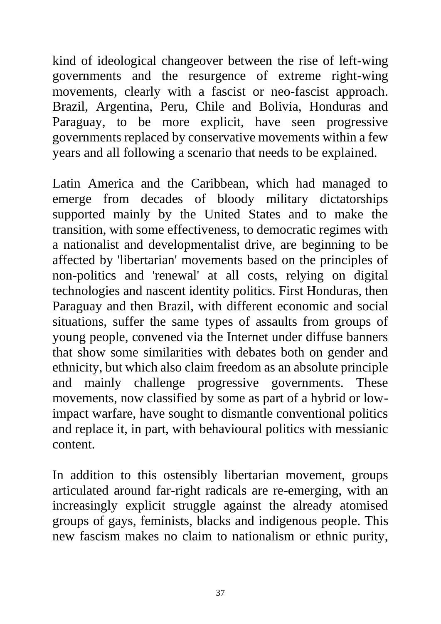kind of ideological changeover between the rise of left-wing governments and the resurgence of extreme right-wing movements, clearly with a fascist or neo-fascist approach. Brazil, Argentina, Peru, Chile and Bolivia, Honduras and Paraguay, to be more explicit, have seen progressive governments replaced by conservative movements within a few years and all following a scenario that needs to be explained.

Latin America and the Caribbean, which had managed to emerge from decades of bloody military dictatorships supported mainly by the United States and to make the transition, with some effectiveness, to democratic regimes with a nationalist and developmentalist drive, are beginning to be affected by 'libertarian' movements based on the principles of non-politics and 'renewal' at all costs, relying on digital technologies and nascent identity politics. First Honduras, then Paraguay and then Brazil, with different economic and social situations, suffer the same types of assaults from groups of young people, convened via the Internet under diffuse banners that show some similarities with debates both on gender and ethnicity, but which also claim freedom as an absolute principle and mainly challenge progressive governments. These movements, now classified by some as part of a hybrid or lowimpact warfare, have sought to dismantle conventional politics and replace it, in part, with behavioural politics with messianic content.

In addition to this ostensibly libertarian movement, groups articulated around far-right radicals are re-emerging, with an increasingly explicit struggle against the already atomised groups of gays, feminists, blacks and indigenous people. This new fascism makes no claim to nationalism or ethnic purity,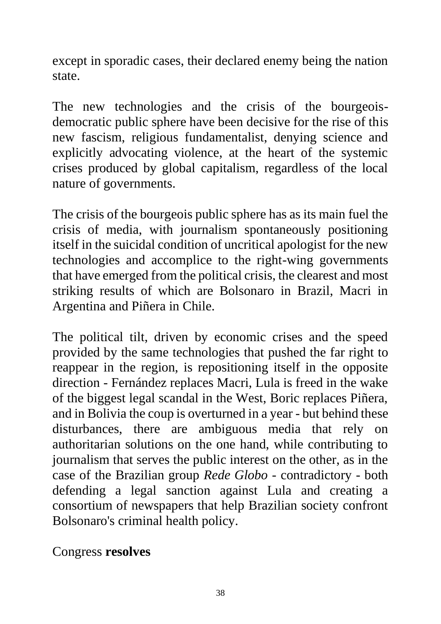except in sporadic cases, their declared enemy being the nation state.

The new technologies and the crisis of the bourgeoisdemocratic public sphere have been decisive for the rise of this new fascism, religious fundamentalist, denying science and explicitly advocating violence, at the heart of the systemic crises produced by global capitalism, regardless of the local nature of governments.

The crisis of the bourgeois public sphere has as its main fuel the crisis of media, with journalism spontaneously positioning itself in the suicidal condition of uncritical apologist for the new technologies and accomplice to the right-wing governments that have emerged from the political crisis, the clearest and most striking results of which are Bolsonaro in Brazil, Macri in Argentina and Piñera in Chile.

The political tilt, driven by economic crises and the speed provided by the same technologies that pushed the far right to reappear in the region, is repositioning itself in the opposite direction - Fernández replaces Macri, Lula is freed in the wake of the biggest legal scandal in the West, Boric replaces Piñera, and in Bolivia the coup is overturned in a year - but behind these disturbances, there are ambiguous media that rely on authoritarian solutions on the one hand, while contributing to journalism that serves the public interest on the other, as in the case of the Brazilian group *Rede Globo* - contradictory - both defending a legal sanction against Lula and creating a consortium of newspapers that help Brazilian society confront Bolsonaro's criminal health policy.

Congress **resolves**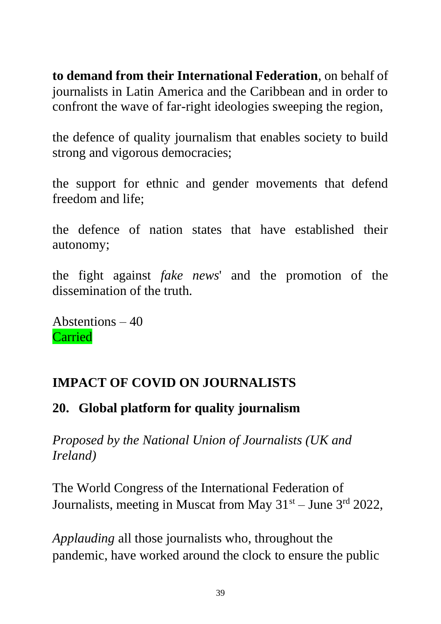**to demand from their International Federation**, on behalf of journalists in Latin America and the Caribbean and in order to confront the wave of far-right ideologies sweeping the region,

the defence of quality journalism that enables society to build strong and vigorous democracies;

the support for ethnic and gender movements that defend freedom and life;

the defence of nation states that have established their autonomy;

the fight against *fake news*' and the promotion of the dissemination of the truth.

Abstentions – 40 **Carried** 

## **IMPACT OF COVID ON JOURNALISTS**

## **20. Global platform for quality journalism**

*Proposed by the National Union of Journalists (UK and Ireland)*

The World Congress of the International Federation of Journalists, meeting in Muscat from May  $31<sup>st</sup> -$  June  $3<sup>rd</sup>$  2022,

*Applauding* all those journalists who, throughout the pandemic, have worked around the clock to ensure the public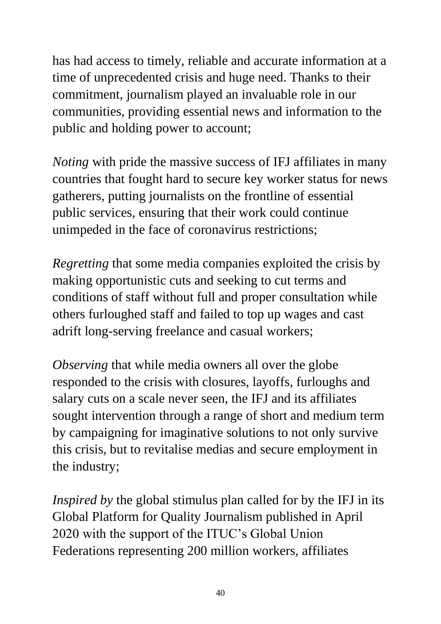has had access to timely, reliable and accurate information at a time of unprecedented crisis and huge need. Thanks to their commitment, journalism played an invaluable role in our communities, providing essential news and information to the public and holding power to account;

*Noting* with pride the massive success of IFJ affiliates in many countries that fought hard to secure key worker status for news gatherers, putting journalists on the frontline of essential public services, ensuring that their work could continue unimpeded in the face of coronavirus restrictions;

*Regretting* that some media companies exploited the crisis by making opportunistic cuts and seeking to cut terms and conditions of staff without full and proper consultation while others furloughed staff and failed to top up wages and cast adrift long-serving freelance and casual workers;

*Observing* that while media owners all over the globe responded to the crisis with closures, layoffs, furloughs and salary cuts on a scale never seen, the IFJ and its affiliates sought intervention through a range of short and medium term by campaigning for imaginative solutions to not only survive this crisis, but to revitalise medias and secure employment in the industry;

*Inspired by* the global stimulus plan called for by the IFJ in its Global Platform for Quality Journalism published in April 2020 with the support of the ITUC's Global Union Federations representing 200 million workers, affiliates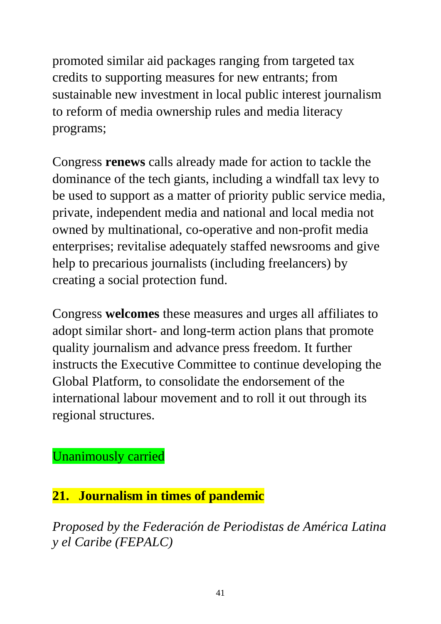promoted similar aid packages ranging from targeted tax credits to supporting measures for new entrants; from sustainable new investment in local public interest journalism to reform of media ownership rules and media literacy programs;

Congress **renews** calls already made for action to tackle the dominance of the tech giants, including a windfall tax levy to be used to support as a matter of priority public service media, private, independent media and national and local media not owned by multinational, co-operative and non-profit media enterprises; revitalise adequately staffed newsrooms and give help to precarious journalists (including freelancers) by creating a social protection fund.

Congress **welcomes** these measures and urges all affiliates to adopt similar short- and long-term action plans that promote quality journalism and advance press freedom. It further instructs the Executive Committee to continue developing the Global Platform, to consolidate the endorsement of the international labour movement and to roll it out through its regional structures.

Unanimously carried

#### **21. Journalism in times of pandemic**

*Proposed by the Federación de Periodistas de América Latina y el Caribe (FEPALC)*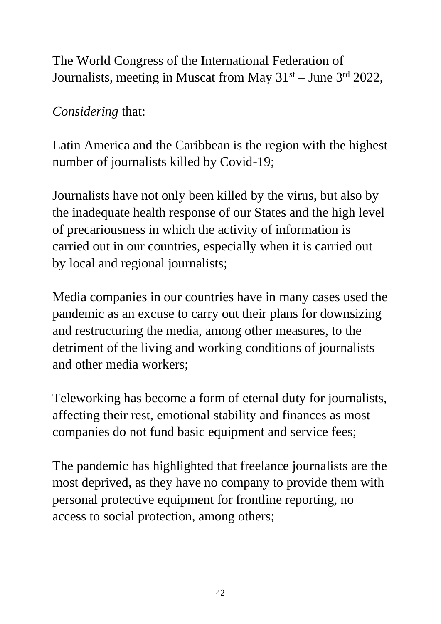The World Congress of the International Federation of Journalists, meeting in Muscat from May  $31<sup>st</sup> -$  June  $3<sup>rd</sup>$  2022,

*Considering* that:

Latin America and the Caribbean is the region with the highest number of journalists killed by Covid-19;

Journalists have not only been killed by the virus, but also by the inadequate health response of our States and the high level of precariousness in which the activity of information is carried out in our countries, especially when it is carried out by local and regional journalists;

Media companies in our countries have in many cases used the pandemic as an excuse to carry out their plans for downsizing and restructuring the media, among other measures, to the detriment of the living and working conditions of journalists and other media workers;

Teleworking has become a form of eternal duty for journalists, affecting their rest, emotional stability and finances as most companies do not fund basic equipment and service fees;

The pandemic has highlighted that freelance journalists are the most deprived, as they have no company to provide them with personal protective equipment for frontline reporting, no access to social protection, among others;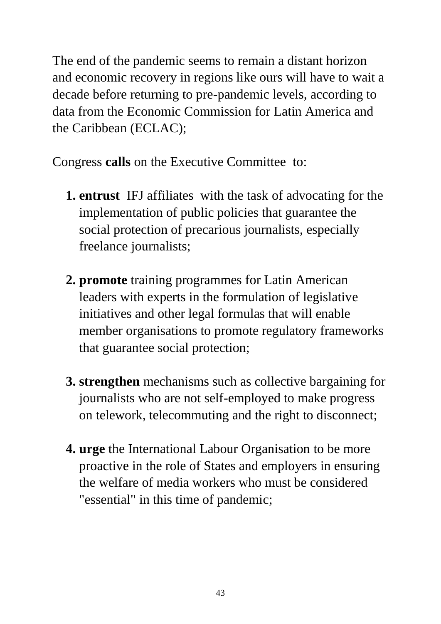The end of the pandemic seems to remain a distant horizon and economic recovery in regions like ours will have to wait a decade before returning to pre-pandemic levels, according to data from the Economic Commission for Latin America and the Caribbean (ECLAC);

Congress **calls** on the Executive Committeeto:

- **1. entrust** IFJ affiliates with the task of advocating for the implementation of public policies that guarantee the social protection of precarious journalists, especially freelance journalists;
- **2. promote** training programmes for Latin American leaders with experts in the formulation of legislative initiatives and other legal formulas that will enable member organisations to promote regulatory frameworks that guarantee social protection;
- **3. strengthen** mechanisms such as collective bargaining for journalists who are not self-employed to make progress on telework, telecommuting and the right to disconnect;
- **4. urge** the International Labour Organisation to be more proactive in the role of States and employers in ensuring the welfare of media workers who must be considered "essential" in this time of pandemic;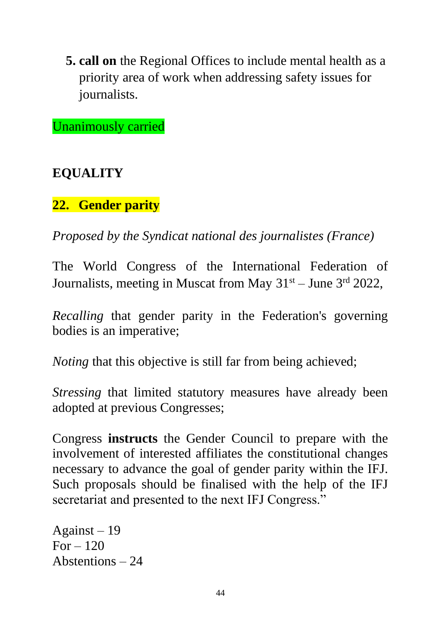**5. call on** the Regional Offices to include mental health as a priority area of work when addressing safety issues for journalists.

Unanimously carried

#### **EQUALITY**

#### **22. Gender parity**

*Proposed by the Syndicat national des journalistes (France)*

The World Congress of the International Federation of Journalists, meeting in Muscat from May  $31<sup>st</sup> -$  June  $3<sup>rd</sup>$  2022,

*Recalling* that gender parity in the Federation's governing bodies is an imperative;

*Noting* that this objective is still far from being achieved;

*Stressing* that limited statutory measures have already been adopted at previous Congresses;

Congress **instructs** the Gender Council to prepare with the involvement of interested affiliates the constitutional changes necessary to advance the goal of gender parity within the IFJ. Such proposals should be finalised with the help of the IFJ secretariat and presented to the next IFJ Congress."

Against – 19 For  $-120$ Abstentions – 24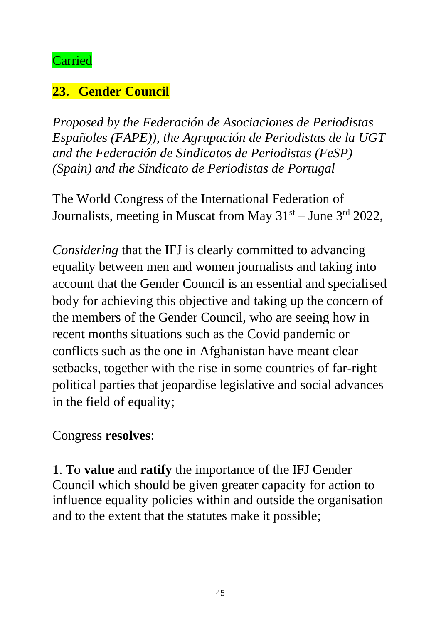#### Carried

# **23. Gender Council**

*Proposed by the Federación de Asociaciones de Periodistas Españoles (FAPE)), the Agrupación de Periodistas de la UGT and the Federación de Sindicatos de Periodistas (FeSP) (Spain) and the Sindicato de Periodistas de Portugal*

The World Congress of the International Federation of Journalists, meeting in Muscat from May  $31<sup>st</sup> - June 3<sup>rd</sup> 2022$ ,

*Considering* that the IFJ is clearly committed to advancing equality between men and women journalists and taking into account that the Gender Council is an essential and specialised body for achieving this objective and taking up the concern of the members of the Gender Council, who are seeing how in recent months situations such as the Covid pandemic or conflicts such as the one in Afghanistan have meant clear setbacks, together with the rise in some countries of far-right political parties that jeopardise legislative and social advances in the field of equality;

#### Congress **resolves**:

1. To **value** and **ratify** the importance of the IFJ Gender Council which should be given greater capacity for action to influence equality policies within and outside the organisation and to the extent that the statutes make it possible;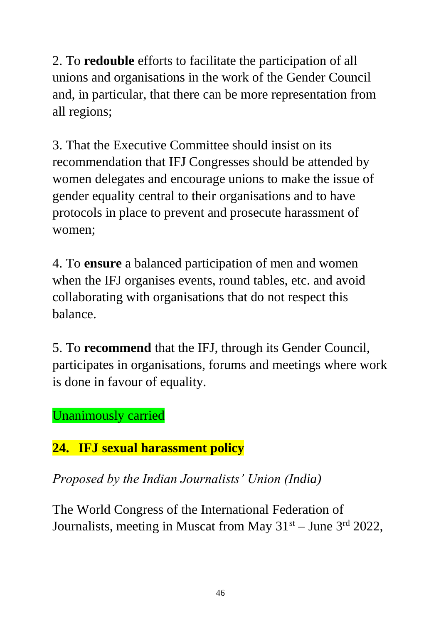2. To **redouble** efforts to facilitate the participation of all unions and organisations in the work of the Gender Council and, in particular, that there can be more representation from all regions;

3. That the Executive Committee should insist on its recommendation that IFJ Congresses should be attended by women delegates and encourage unions to make the issue of gender equality central to their organisations and to have protocols in place to prevent and prosecute harassment of women;

4. To **ensure** a balanced participation of men and women when the IFJ organises events, round tables, etc. and avoid collaborating with organisations that do not respect this balance.

5. To **recommend** that the IFJ, through its Gender Council, participates in organisations, forums and meetings where work is done in favour of equality.

Unanimously carried

# **24. IFJ sexual harassment policy**

*Proposed by the Indian Journalists' Union (India)*

The World Congress of the International Federation of Journalists, meeting in Muscat from May  $31<sup>st</sup> -$  June  $3<sup>rd</sup>$  2022,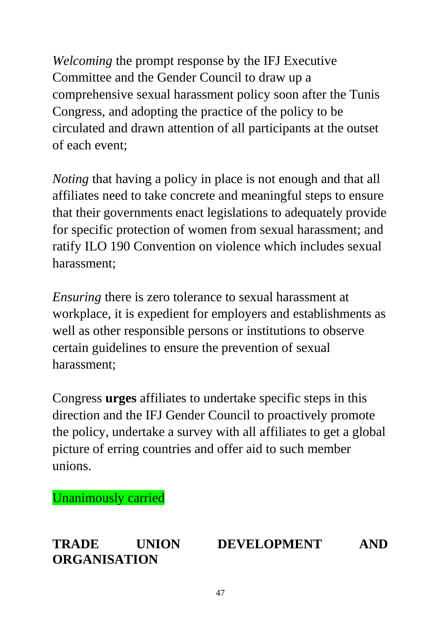*Welcoming* the prompt response by the IFJ Executive Committee and the Gender Council to draw up a comprehensive sexual harassment policy soon after the Tunis Congress, and adopting the practice of the policy to be circulated and drawn attention of all participants at the outset of each event;

*Noting* that having a policy in place is not enough and that all affiliates need to take concrete and meaningful steps to ensure that their governments enact legislations to adequately provide for specific protection of women from sexual harassment; and ratify ILO 190 Convention on violence which includes sexual harassment;

*Ensuring* there is zero tolerance to sexual harassment at workplace, it is expedient for employers and establishments as well as other responsible persons or institutions to observe certain guidelines to ensure the prevention of sexual harassment;

Congress **urges** affiliates to undertake specific steps in this direction and the IFJ Gender Council to proactively promote the policy, undertake a survey with all affiliates to get a global picture of erring countries and offer aid to such member unions.

Unanimously carried

**ORGANISATION**

## **TRADE UNION DEVELOPMENT AND**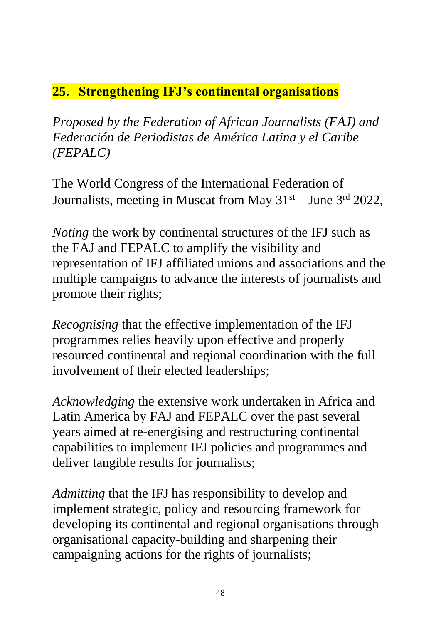## **25. Strengthening IFJ's continental organisations**

*Proposed by the Federation of African Journalists (FAJ) and Federación de Periodistas de América Latina y el Caribe (FEPALC)*

The World Congress of the International Federation of Journalists, meeting in Muscat from May  $31<sup>st</sup> - June 3<sup>rd</sup> 2022$ ,

*Noting* the work by continental structures of the IFJ such as the FAJ and FEPALC to amplify the visibility and representation of IFJ affiliated unions and associations and the multiple campaigns to advance the interests of journalists and promote their rights;

*Recognising* that the effective implementation of the IFJ programmes relies heavily upon effective and properly resourced continental and regional coordination with the full involvement of their elected leaderships;

*Acknowledging* the extensive work undertaken in Africa and Latin America by FAJ and FEPALC over the past several years aimed at re-energising and restructuring continental capabilities to implement IFJ policies and programmes and deliver tangible results for journalists;

*Admitting* that the IFJ has responsibility to develop and implement strategic, policy and resourcing framework for developing its continental and regional organisations through organisational capacity-building and sharpening their campaigning actions for the rights of journalists;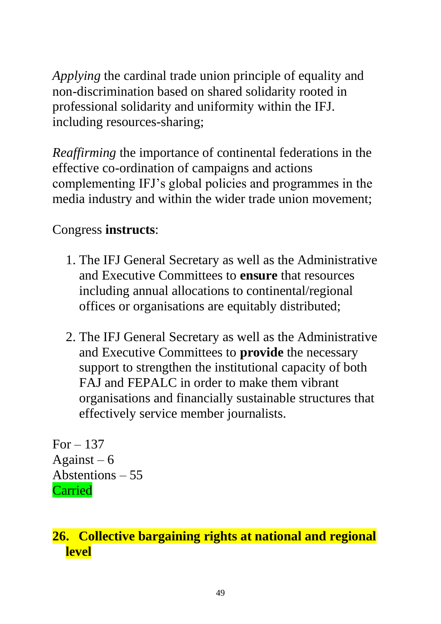*Applying* the cardinal trade union principle of equality and non-discrimination based on shared solidarity rooted in professional solidarity and uniformity within the IFJ. including resources-sharing;

*Reaffirming* the importance of continental federations in the effective co-ordination of campaigns and actions complementing IFJ's global policies and programmes in the media industry and within the wider trade union movement;

# Congress **instructs**:

- 1. The IFJ General Secretary as well as the Administrative and Executive Committees to **ensure** that resources including annual allocations to continental/regional offices or organisations are equitably distributed;
- 2. The IFJ General Secretary as well as the Administrative and Executive Committees to **provide** the necessary support to strengthen the institutional capacity of both FAJ and FEPALC in order to make them vibrant organisations and financially sustainable structures that effectively service member journalists.

 $For - 137$ Against  $-6$ Abstentions – 55 Carried

# **26. Collective bargaining rights at national and regional level**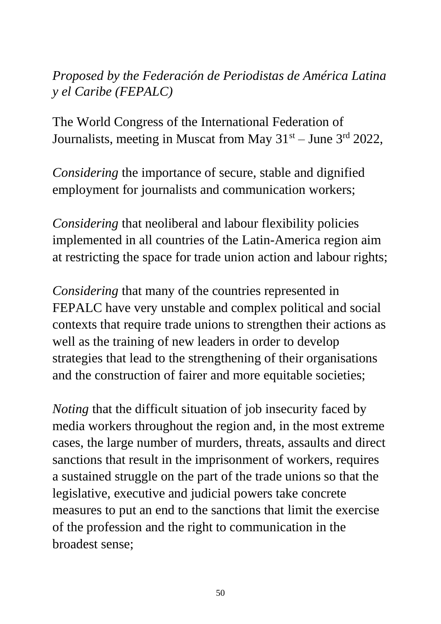## *Proposed by the Federación de Periodistas de América Latina y el Caribe (FEPALC)*

The World Congress of the International Federation of Journalists, meeting in Muscat from May  $31<sup>st</sup> -$  June  $3<sup>rd</sup>$  2022,

*Considering* the importance of secure, stable and dignified employment for journalists and communication workers;

*Considering* that neoliberal and labour flexibility policies implemented in all countries of the Latin-America region aim at restricting the space for trade union action and labour rights;

*Considering* that many of the countries represented in FEPALC have very unstable and complex political and social contexts that require trade unions to strengthen their actions as well as the training of new leaders in order to develop strategies that lead to the strengthening of their organisations and the construction of fairer and more equitable societies;

*Noting* that the difficult situation of job insecurity faced by media workers throughout the region and, in the most extreme cases, the large number of murders, threats, assaults and direct sanctions that result in the imprisonment of workers, requires a sustained struggle on the part of the trade unions so that the legislative, executive and judicial powers take concrete measures to put an end to the sanctions that limit the exercise of the profession and the right to communication in the broadest sense;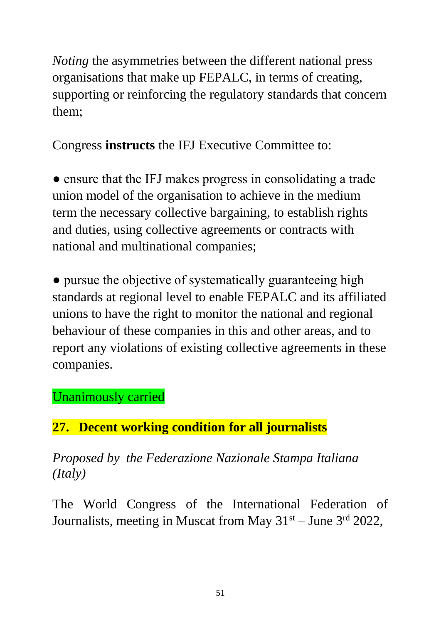*Noting* the asymmetries between the different national press organisations that make up FEPALC, in terms of creating, supporting or reinforcing the regulatory standards that concern them;

Congress **instructs** the IFJ Executive Committee to:

• ensure that the IFJ makes progress in consolidating a trade union model of the organisation to achieve in the medium term the necessary collective bargaining, to establish rights and duties, using collective agreements or contracts with national and multinational companies;

• pursue the objective of systematically guaranteeing high standards at regional level to enable FEPALC and its affiliated unions to have the right to monitor the national and regional behaviour of these companies in this and other areas, and to report any violations of existing collective agreements in these companies.

## Unanimously carried

# **27. Decent working condition for all journalists**

*Proposed by the Federazione Nazionale Stampa Italiana (Italy)*

The World Congress of the International Federation of Journalists, meeting in Muscat from May  $31<sup>st</sup>$  – June  $3<sup>rd</sup>$  2022,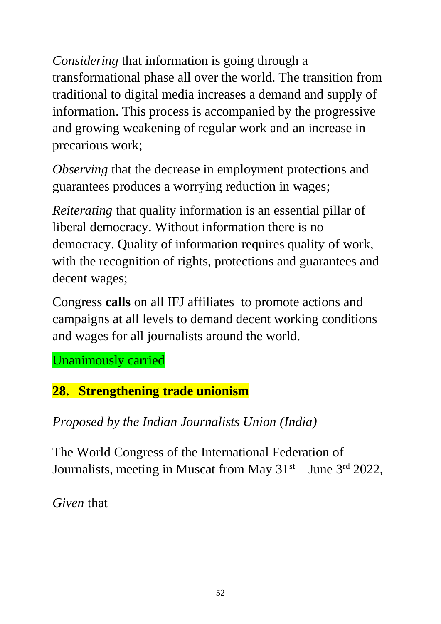*Considering* that information is going through a transformational phase all over the world. The transition from traditional to digital media increases a demand and supply of information. This process is accompanied by the progressive and growing weakening of regular work and an increase in precarious work;

*Observing* that the decrease in employment protections and guarantees produces a worrying reduction in wages;

*Reiterating* that quality information is an essential pillar of liberal democracy. Without information there is no democracy. Quality of information requires quality of work, with the recognition of rights, protections and guarantees and decent wages;

Congress **calls** on all IFJ affiliates to promote actions and campaigns at all levels to demand decent working conditions and wages for all journalists around the world.

Unanimously carried

# **28. Strengthening trade unionism**

*Proposed by the Indian Journalists Union (India)*

The World Congress of the International Federation of Journalists, meeting in Muscat from May  $31<sup>st</sup> - June 3<sup>rd</sup> 2022$ ,

*Given* that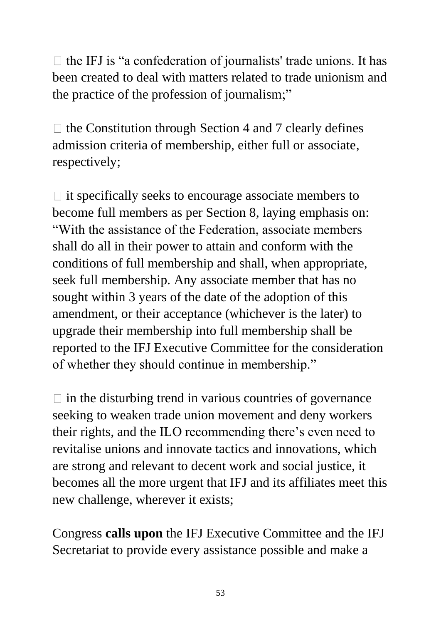$\Box$  the IFJ is "a confederation of journalists' trade unions. It has been created to deal with matters related to trade unionism and the practice of the profession of journalism;"

 $\Box$  the Constitution through Section 4 and 7 clearly defines admission criteria of membership, either full or associate, respectively;

 $\Box$  it specifically seeks to encourage associate members to become full members as per Section 8, laying emphasis on: "With the assistance of the Federation, associate members shall do all in their power to attain and conform with the conditions of full membership and shall, when appropriate, seek full membership. Any associate member that has no sought within 3 years of the date of the adoption of this amendment, or their acceptance (whichever is the later) to upgrade their membership into full membership shall be reported to the IFJ Executive Committee for the consideration of whether they should continue in membership."

 $\Box$  in the disturbing trend in various countries of governance seeking to weaken trade union movement and deny workers their rights, and the ILO recommending there's even need to revitalise unions and innovate tactics and innovations, which are strong and relevant to decent work and social justice, it becomes all the more urgent that IFJ and its affiliates meet this new challenge, wherever it exists;

Congress **calls upon** the IFJ Executive Committee and the IFJ Secretariat to provide every assistance possible and make a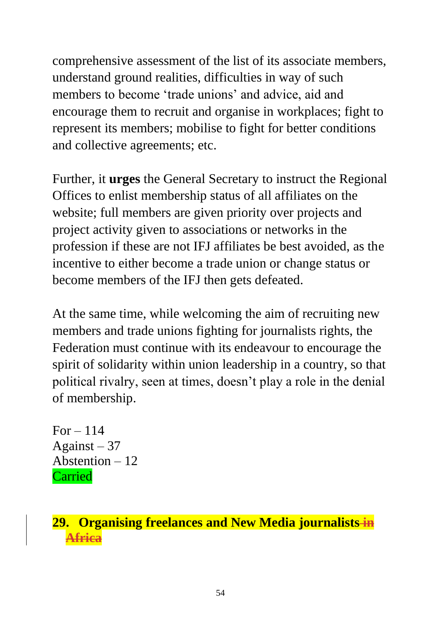comprehensive assessment of the list of its associate members, understand ground realities, difficulties in way of such members to become 'trade unions' and advice, aid and encourage them to recruit and organise in workplaces; fight to represent its members; mobilise to fight for better conditions and collective agreements; etc.

Further, it **urges** the General Secretary to instruct the Regional Offices to enlist membership status of all affiliates on the website; full members are given priority over projects and project activity given to associations or networks in the profession if these are not IFJ affiliates be best avoided, as the incentive to either become a trade union or change status or become members of the IFJ then gets defeated.

At the same time, while welcoming the aim of recruiting new members and trade unions fighting for journalists rights, the Federation must continue with its endeavour to encourage the spirit of solidarity within union leadership in a country, so that political rivalry, seen at times, doesn't play a role in the denial of membership.

For  $-114$ Against  $-37$ Abstention – 12 Carried

#### **29. Organising freelances and New Media journalists in Africa**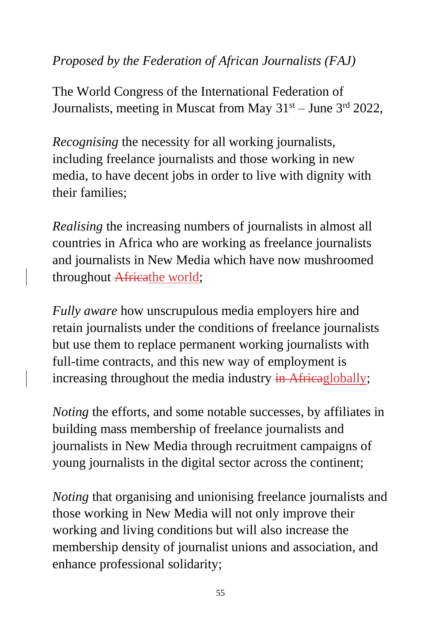### *Proposed by the Federation of African Journalists (FAJ)*

The World Congress of the International Federation of Journalists, meeting in Muscat from May  $31<sup>st</sup> -$  June  $3<sup>rd</sup> 2022$ ,

*Recognising* the necessity for all working journalists, including freelance journalists and those working in new media, to have decent jobs in order to live with dignity with their families;

*Realising* the increasing numbers of journalists in almost all countries in Africa who are working as freelance journalists and journalists in New Media which have now mushroomed throughout Africathe world;

*Fully aware* how unscrupulous media employers hire and retain journalists under the conditions of freelance journalists but use them to replace permanent working journalists with full-time contracts, and this new way of employment is increasing throughout the media industry in Africaglobally;

*Noting* the efforts, and some notable successes, by affiliates in building mass membership of freelance journalists and journalists in New Media through recruitment campaigns of young journalists in the digital sector across the continent;

*Noting* that organising and unionising freelance journalists and those working in New Media will not only improve their working and living conditions but will also increase the membership density of journalist unions and association, and enhance professional solidarity;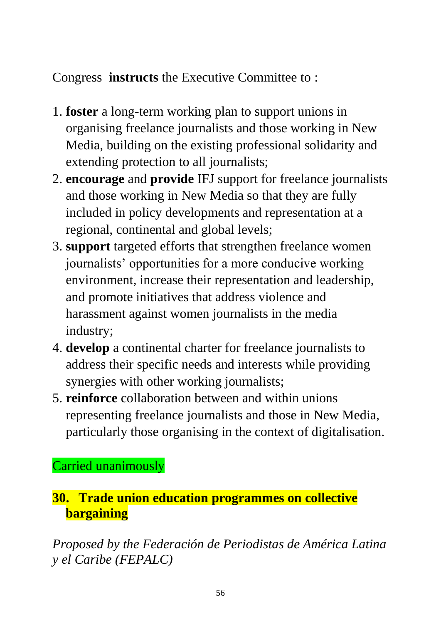# Congress **instructs** the Executive Committee to :

- 1. **foster** a long-term working plan to support unions in organising freelance journalists and those working in New Media, building on the existing professional solidarity and extending protection to all journalists;
- 2. **encourage** and **provide** IFJ support for freelance journalists and those working in New Media so that they are fully included in policy developments and representation at a regional, continental and global levels;
- 3. **support** targeted efforts that strengthen freelance women journalists' opportunities for a more conducive working environment, increase their representation and leadership, and promote initiatives that address violence and harassment against women journalists in the media industry;
- 4. **develop** a continental charter for freelance journalists to address their specific needs and interests while providing synergies with other working journalists;
- 5. **reinforce** collaboration between and within unions representing freelance journalists and those in New Media, particularly those organising in the context of digitalisation.

Carried unanimously

## **30. Trade union education programmes on collective bargaining**

*Proposed by the Federación de Periodistas de América Latina y el Caribe (FEPALC)*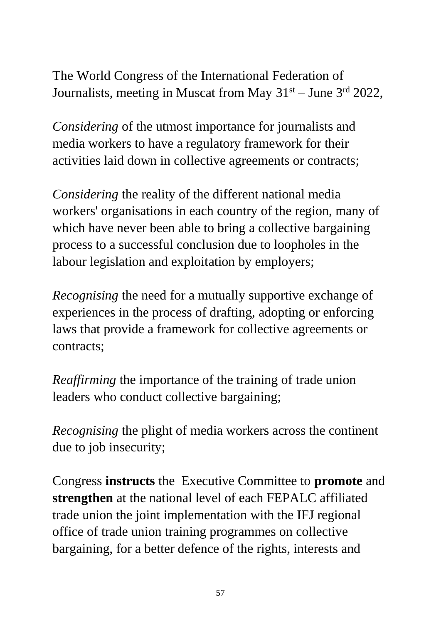The World Congress of the International Federation of Journalists, meeting in Muscat from May  $31<sup>st</sup> -$  June  $3<sup>rd</sup>$  2022,

*Considering* of the utmost importance for journalists and media workers to have a regulatory framework for their activities laid down in collective agreements or contracts;

*Considering* the reality of the different national media workers' organisations in each country of the region, many of which have never been able to bring a collective bargaining process to a successful conclusion due to loopholes in the labour legislation and exploitation by employers;

*Recognising* the need for a mutually supportive exchange of experiences in the process of drafting, adopting or enforcing laws that provide a framework for collective agreements or contracts;

*Reaffirming* the importance of the training of trade union leaders who conduct collective bargaining;

*Recognising* the plight of media workers across the continent due to job insecurity;

Congress **instructs** the Executive Committee to **promote** and **strengthen** at the national level of each FEPALC affiliated trade union the joint implementation with the IFJ regional office of trade union training programmes on collective bargaining, for a better defence of the rights, interests and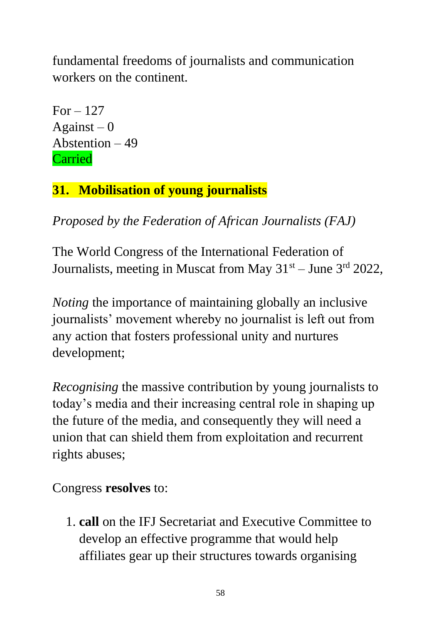fundamental freedoms of journalists and communication workers on the continent.

For  $-127$ Against  $-0$ Abstention – 49 Carried

# **31. Mobilisation of young journalists**

*Proposed by the Federation of African Journalists (FAJ)*

The World Congress of the International Federation of Journalists, meeting in Muscat from May  $31<sup>st</sup> -$  June  $3<sup>rd</sup>$  2022,

*Noting* the importance of maintaining globally an inclusive journalists' movement whereby no journalist is left out from any action that fosters professional unity and nurtures development;

*Recognising* the massive contribution by young journalists to today's media and their increasing central role in shaping up the future of the media, and consequently they will need a union that can shield them from exploitation and recurrent rights abuses;

Congress **resolves** to:

1. **call** on the IFJ Secretariat and Executive Committee to develop an effective programme that would help affiliates gear up their structures towards organising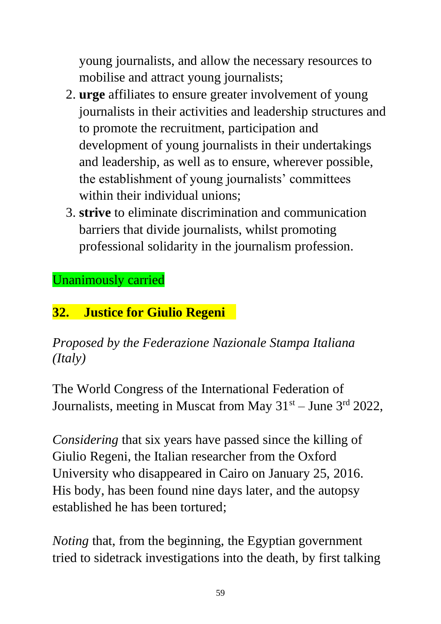young journalists, and allow the necessary resources to mobilise and attract young journalists;

- 2. **urge** affiliates to ensure greater involvement of young journalists in their activities and leadership structures and to promote the recruitment, participation and development of young journalists in their undertakings and leadership, as well as to ensure, wherever possible, the establishment of young journalists' committees within their individual unions:
- 3. **strive** to eliminate discrimination and communication barriers that divide journalists, whilst promoting professional solidarity in the journalism profession.

Unanimously carried

# **32. Justice for Giulio Regeni**

*Proposed by the Federazione Nazionale Stampa Italiana (Italy)*

The World Congress of the International Federation of Journalists, meeting in Muscat from May  $31<sup>st</sup> -$  June  $3<sup>rd</sup>$  2022,

*Considering* that six years have passed since the killing of Giulio Regeni, the Italian researcher from the Oxford University who disappeared in Cairo on January 25, 2016. His body, has been found nine days later, and the autopsy established he has been tortured;

*Noting* that, from the beginning, the Egyptian government tried to sidetrack investigations into the death, by first talking